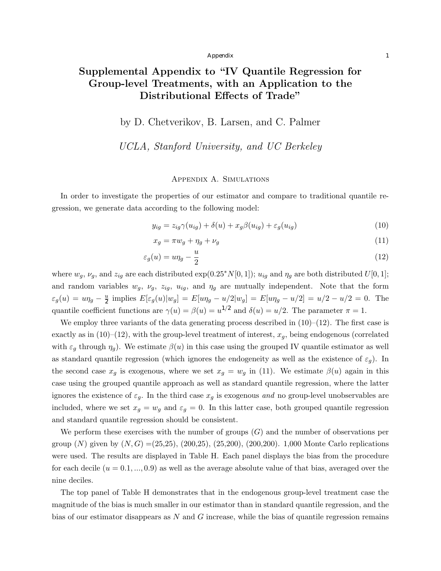# Supplemental Appendix to "IV Quantile Regression for Group-level Treatments, with an Application to the Distributional Effects of Trade"

# by D. Chetverikov, B. Larsen, and C. Palmer

# *UCLA, Stanford University, and UC Berkeley*

# Appendix A. Simulations

In order to investigate the properties of our estimator and compare to traditional quantile regression, we generate data according to the following model:

$$
y_{ig} = z_{ig}\gamma(u_{ig}) + \delta(u) + x_g\beta(u_{ig}) + \varepsilon_g(u_{ig})
$$
\n(10)

$$
x_g = \pi w_g + \eta_g + \nu_g \tag{11}
$$

$$
\varepsilon_g(u) = u\eta_g - \frac{u}{2} \tag{12}
$$

where  $w_g$ ,  $\nu_g$ , and  $z_{ig}$  are each distributed exp(0.25<sup>\*</sup>N[0,1]);  $u_{ig}$  and  $\eta_g$  are both distributed  $U[0,1]$ ; and random variables  $w_g$ ,  $v_g$ ,  $z_{ig}$ ,  $u_{ig}$ , and  $\eta_g$  are mutually independent. Note that the form  $\varepsilon_g(u) = u\eta_g - \frac{u}{2}$  implies  $E[\varepsilon_g(u)|w_g] = E[u\eta_g - u/2|w_g] = E[u\eta_g - u/2] = u/2 - u/2 = 0$ . The quantile coefficient functions are  $\gamma(u) = \beta(u) = u^{1/2}$  and  $\delta(u) = u/2$ . The parameter  $\pi = 1$ .

We employ three variants of the data generating process described in  $(10)–(12)$ . The first case is exactly as in  $(10)$ – $(12)$ , with the group-level treatment of interest,  $x_g$ , being endogenous (correlated with  $\varepsilon_g$  through  $\eta_g$ ). We estimate  $\beta(u)$  in this case using the grouped IV quantile estimator as well as standard quantile regression (which ignores the endogeneity as well as the existence of  $\varepsilon_g$ ). In the second case  $x_g$  is exogenous, where we set  $x_g = w_g$  in (11). We estimate  $\beta(u)$  again in this case using the grouped quantile approach as well as standard quantile regression, where the latter ignores the existence of  $\varepsilon_g$ . In the third case  $x_g$  is exogenous *and* no group-level unobservables are included, where we set  $x_g = w_g$  and  $\varepsilon_g = 0$ . In this latter case, both grouped quantile regression and standard quantile regression should be consistent.

We perform these exercises with the number of groups (*G*) and the number of observations per group (*N*) given by (*N,G*) =(25,25), (200,25), (25,200), (200,200). 1,000 Monte Carlo replications were used. The results are displayed in Table H. Each panel displays the bias from the procedure for each decile  $(u = 0.1, ..., 0.9)$  as well as the average absolute value of that bias, averaged over the nine deciles.

The top panel of Table H demonstrates that in the endogenous group-level treatment case the magnitude of the bias is much smaller in our estimator than in standard quantile regression, and the bias of our estimator disappears as *N* and *G* increase, while the bias of quantile regression remains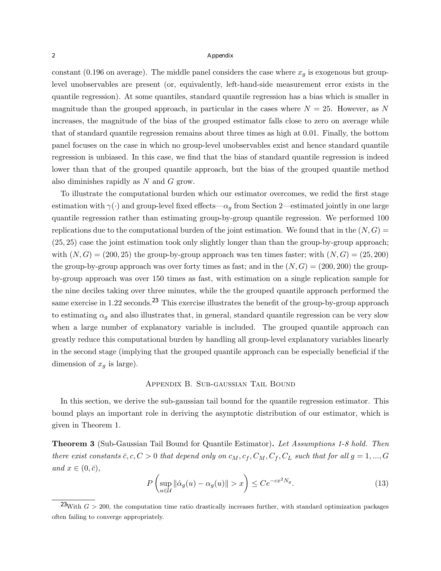constant (0.196 on average). The middle panel considers the case where  $x_g$  is exogenous but grouplevel unobservables are present (or, equivalently, left-hand-side measurement error exists in the quantile regression). At some quantiles, standard quantile regression has a bias which is smaller in magnitude than the grouped approach, in particular in the cases where  $N = 25$ . However, as N increases, the magnitude of the bias of the grouped estimator falls close to zero on average while that of standard quantile regression remains about three times as high at 0.01. Finally, the bottom panel focuses on the case in which no group-level unobservables exist and hence standard quantile regression is unbiased. In this case, we find that the bias of standard quantile regression is indeed lower than that of the grouped quantile approach, but the bias of the grouped quantile method also diminishes rapidly as *N* and *G* grow.

To illustrate the computational burden which our estimator overcomes, we redid the first stage estimation with  $\gamma(\cdot)$  and group-level fixed effects— $\alpha_q$  from Section 2—estimated jointly in one large quantile regression rather than estimating group-by-group quantile regression. We performed 100 replications due to the computational burden of the joint estimation. We found that in the  $(N, G)$ (25*,* 25) case the joint estimation took only slightly longer than than the group-by-group approach; with  $(N, G) = (200, 25)$  the group-by-group approach was ten times faster; with  $(N, G) = (25, 200)$ the group-by-group approach was over forty times as fast; and in the  $(N, G) = (200, 200)$  the groupby-group approach was over 150 times as fast, with estimation on a single replication sample for the nine deciles taking over three minutes, while the the grouped quantile approach performed the same exercise in 1.22 seconds.<sup>23</sup> This exercise illustrates the benefit of the group-by-group approach to estimating  $\alpha_q$  and also illustrates that, in general, standard quantile regression can be very slow when a large number of explanatory variable is included. The grouped quantile approach can greatly reduce this computational burden by handling all group-level explanatory variables linearly in the second stage (implying that the grouped quantile approach can be especially beneficial if the dimension of  $x_g$  is large).

#### Appendix B. Sub-gaussian Tail Bound

In this section, we derive the sub-gaussian tail bound for the quantile regression estimator. This bound plays an important role in deriving the asymptotic distribution of our estimator, which is given in Theorem 1.

Theorem 3 (Sub-Gaussian Tail Bound for Quantile Estimator). *Let Assumptions 1-8 hold. Then there exist constants*  $\bar{c}$ ,  $c$ ,  $C > 0$  *that depend only on*  $c_M$ ,  $c_f$ ,  $C_M$ ,  $C_f$ ,  $C_L$  *such that for all*  $g = 1, ..., G$  $and x \in (0, \bar{c}),$ 

$$
P\left(\sup_{u\in\mathcal{U}}\|\hat{\alpha}_g(u) - \alpha_g(u)\| > x\right) \le Ce^{-cx^2N_g}.\tag{13}
$$

<sup>&</sup>lt;sup>23</sup>With  $G > 200$ , the computation time ratio drastically increases further, with standard optimization packages often failing to converge appropriately.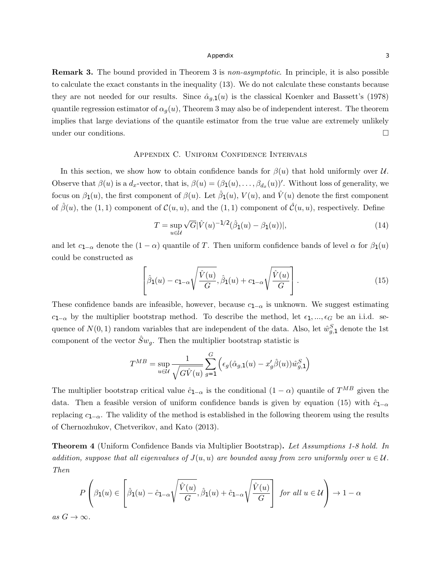Remark 3. The bound provided in Theorem 3 is *non-asymptotic*. In principle, it is also possible to calculate the exact constants in the inequality (13). We do not calculate these constants because they are not needed for our results. Since  $\hat{\alpha}_{g,1}(u)$  is the classical Koenker and Bassett's (1978) quantile regression estimator of  $\alpha_q(u)$ , Theorem 3 may also be of independent interest. The theorem implies that large deviations of the quantile estimator from the true value are extremely unlikely under our conditions.  $\Box$ 

# Appendix C. Uniform Confidence Intervals

In this section, we show how to obtain confidence bands for  $\beta(u)$  that hold uniformly over *U*. Observe that  $\beta(u)$  is a  $d_x$ -vector, that is,  $\beta(u)=(\beta_1(u),\ldots,\beta_{d_x}(u))'$ . Without loss of generality, we focus on  $\beta_1(u)$ , the first component of  $\beta(u)$ . Let  $\beta_1(u)$ ,  $V(u)$ , and  $\hat{V}(u)$  denote the first component of  $\hat{\beta}(u)$ , the (1, 1) component of  $\mathcal{C}(u, u)$ , and the (1, 1) component of  $\hat{\mathcal{C}}(u, u)$ , respectively. Define

$$
T = \sup_{u \in \mathcal{U}} \sqrt{G} |\hat{V}(u)^{-1/2} (\hat{\beta}_1(u) - \beta_1(u))|,
$$
\n(14)

and let  $c_{1-\alpha}$  denote the  $(1-\alpha)$  quantile of *T*. Then uniform confidence bands of level  $\alpha$  for  $\beta_1(u)$ could be constructed as

$$
\left[\hat{\beta}_1(u) - c_{1-\alpha}\sqrt{\frac{\hat{V}(u)}{G}}, \hat{\beta}_1(u) + c_{1-\alpha}\sqrt{\frac{\hat{V}(u)}{G}}\right].
$$
\n(15)

These confidence bands are infeasible, however, because  $c_{1-\alpha}$  is unknown. We suggest estimating  $c_{1-\alpha}$  by the multiplier bootstrap method. To describe the method, let  $\epsilon_1, ..., \epsilon_G$  be an i.i.d. sequence of  $N(0, 1)$  random variables that are independent of the data. Also, let  $\hat{w}_{g,1}^S$  denote the 1st component of the vector  $\hat{S}w_q$ . Then the multiplier bootstrap statistic is

$$
T^{MB} = \sup_{u \in \mathcal{U}} \frac{1}{\sqrt{G\hat{V}(u)}} \sum_{g=1}^{G} \left( \epsilon_g(\hat{\alpha}_{g,1}(u) - x_g'\hat{\beta}(u)) \hat{w}_{g,1}^S \right)
$$

The multiplier bootstrap critical value  $\hat{c}_{1-\alpha}$  is the conditional  $(1-\alpha)$  quantile of  $T^{MB}$  given the data. Then a feasible version of uniform confidence bands is given by equation (15) with  $\hat{c}_{1-\alpha}$ replacing  $c_{1-\alpha}$ . The validity of the method is established in the following theorem using the results of Chernozhukov, Chetverikov, and Kato (2013).

Theorem 4 (Uniform Confidence Bands via Multiplier Bootstrap). *Let Assumptions 1-8 hold. In addition, suppose that all eigenvalues of*  $J(u, u)$  *are bounded away from zero uniformly over*  $u \in \mathcal{U}$ *. Then*

$$
P\left(\beta_1(u) \in \left[\hat{\beta}_1(u) - \hat{c}_{1-\alpha}\sqrt{\frac{\hat{V}(u)}{G}}, \hat{\beta}_1(u) + \hat{c}_{1-\alpha}\sqrt{\frac{\hat{V}(u)}{G}}\right] \text{ for all } u \in \mathcal{U}\right) \to 1-\alpha
$$
  
as  $G \to \infty$ .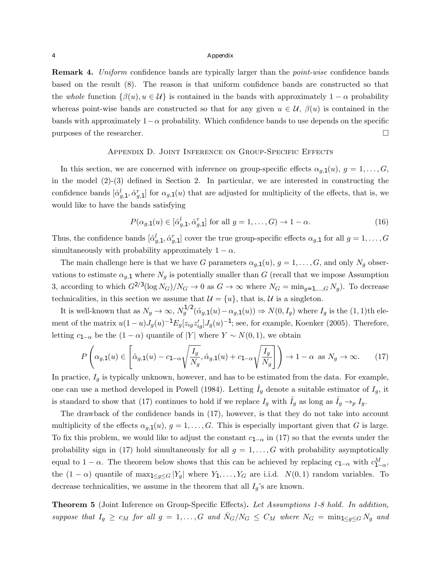Remark 4. *Uniform* confidence bands are typically larger than the *point-wise* confidence bands based on the result (8). The reason is that uniform confidence bands are constructed so that the *whole* function  $\{\beta(u), u \in \mathcal{U}\}\$ is contained in the bands with approximately  $1 - \alpha$  probability whereas point-wise bands are constructed so that for any given  $u \in \mathcal{U}$ ,  $\beta(u)$  is contained in the bands with approximately  $1-\alpha$  probability. Which confidence bands to use depends on the specific purposes of the researcher.  $\Box$ 

#### Appendix D. Joint Inference on Group-Specific Effects

In this section, we are concerned with inference on group-specific effects  $\alpha_{g,1}(u)$ ,  $g = 1, \ldots, G$ , in the model  $(2)-(3)$  defined in Section 2. In particular, we are interested in constructing the confidence bands  $[\hat{\alpha}_{g,1}^l, \hat{\alpha}_{g,1}^r]$  for  $\alpha_{g,1}(u)$  that are adjusted for multiplicity of the effects, that is, we would like to have the bands satisfying

$$
P(\alpha_{g,1}(u) \in [\hat{\alpha}_{g,1}^l, \hat{\alpha}_{g,1}^r] \text{ for all } g = 1, \dots, G) \to 1 - \alpha.
$$
 (16)

Thus, the confidence bands  $[\hat{\alpha}_{g,1}^l, \hat{\alpha}_{g,1}^r]$  cover the true group-specific effects  $\alpha_{g,1}$  for all  $g = 1, \ldots, G$ simultaneously with probability approximately  $1 - \alpha$ .

The main challenge here is that we have *G* parameters  $\alpha_{q,1}(u)$ ,  $g = 1, \ldots, G$ , and only  $N_q$  observations to estimate  $\alpha_{g,1}$  where  $N_g$  is potentially smaller than *G* (recall that we impose Assumption 3, according to which  $G^{2/3}(\log N_G)/N_G \to 0$  as  $G \to \infty$  where  $N_G = \min_{q=1,\dots,G} N_q$ . To decrease technicalities, in this section we assume that  $\mathcal{U} = \{u\}$ , that is,  $\mathcal{U}$  is a singleton.

It is well-known that as  $N_g \to \infty$ ,  $N_g^{1/2}(\hat{\alpha}_{g,1}(u) - \alpha_{g,1}(u)) \Rightarrow N(0, I_g)$  where  $I_g$  is the  $(1, 1)$ th element of the matrix  $u(1-u)J_g(u)^{-1}E_g[z_{ig}z'_{ig}]J_g(u)^{-1}$ ; see, for example, Koenker (2005). Therefore, letting  $c_{1-\alpha}$  be the  $(1-\alpha)$  quantile of *|Y|* where  $Y \sim N(0, 1)$ , we obtain

$$
P\left(\alpha_{g,1}(u) \in \left[\hat{\alpha}_{g,1}(u) - c_{1-\alpha}\sqrt{\frac{I_g}{N_g}}, \hat{\alpha}_{g,1}(u) + c_{1-\alpha}\sqrt{\frac{I_g}{N_g}}\right]\right) \to 1 - \alpha \text{ as } N_g \to \infty.
$$
 (17)

In practice,  $I_q$  is typically unknown, however, and has to be estimated from the data. For example, one can use a method developed in Powell (1984). Letting  $\hat{I}_g$  denote a suitable estimator of  $I_g$ , it is standard to show that (17) continues to hold if we replace  $I_g$  with  $\tilde{I}_g$  as long as  $\tilde{I}_g \rightarrow_p I_g$ .

The drawback of the confidence bands in (17), however, is that they do not take into account multiplicity of the effects  $\alpha_{g,1}(u)$ ,  $g = 1, \ldots, G$ . This is especially important given that *G* is large. To fix this problem, we would like to adjust the constant  $c_{1-\alpha}$  in (17) so that the events under the probability sign in (17) hold simultaneously for all  $g = 1, \ldots, G$  with probability asymptotically equal to  $1 - \alpha$ . The theorem below shows that this can be achieved by replacing  $c_{1-\alpha}$  with  $c_{1-\alpha}^M$ , the  $(1 - \alpha)$  quantile of max<sub>1</sub> $\leq g \leq G$   $|Y_g|$  where  $Y_1, \ldots, Y_G$  are i.i.d.  $N(0, 1)$  random variables. To decrease technicalities, we assume in the theorem that all  $I_g$ 's are known.

**Theorem 5** (Joint Inference on Group-Specific Effects). Let Assumptions 1-8 hold. In addition, suppose that  $I_g \geq c_M$  for all  $g = 1, ..., G$  and  $\bar{N}_G/N_G \leq C_M$  where  $N_G = \min_{1 \leq g \leq G} N_g$  and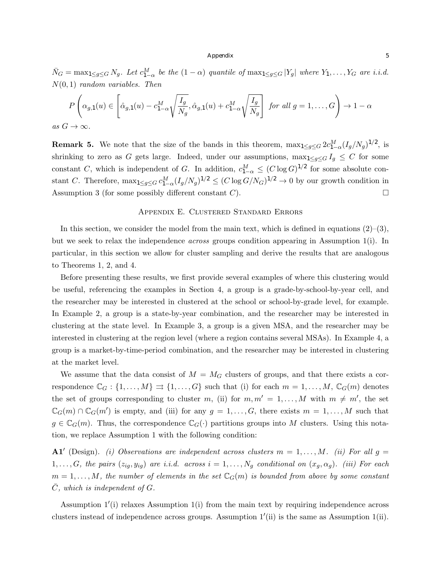$\bar{N}_G = \max_{1 \le g \le G} N_g$ . Let  $c_{1-\alpha}^M$  be the  $(1-\alpha)$  quantile of  $\max_{1 \le g \le G} |Y_g|$  where  $Y_1, \ldots, Y_G$  are i.i.d. *N*(0*,* 1) *random variables. Then*

$$
P\left(\alpha_{g,1}(u) \in \left[\hat{\alpha}_{g,1}(u) - c_{1-\alpha}^M \sqrt{\frac{I_g}{N_g}}, \hat{\alpha}_{g,1}(u) + c_{1-\alpha}^M \sqrt{\frac{I_g}{N_g}}\right] \text{ for all } g = 1,\dots, G\right) \to 1-\alpha
$$

 $as\ G\to\infty$ .

**Remark 5.** We note that the size of the bands in this theorem,  $\max_{1 \le g \le G} 2c_{1-\alpha}^M (I_g/N_g)^{1/2}$ , is shrinking to zero as *G* gets large. Indeed, under our assumptions,  $\max_{1 \leq g \leq G} I_g \leq C$  for some constant *C*, which is independent of *G*. In addition,  $c_{1-\alpha}^M \leq (C \log G)^{1/2}$  for some absolute constant *C*. Therefore,  $\max_{1 \le g \le G} c_{1-\alpha}^M (I_g/N_g)^{1/2} \le (C \log G/N_G)^{1/2} \to 0$  by our growth condition in Assumption 3 (for some possibly different constant *C*).  $\Box$ 

#### Appendix E. Clustered Standard Errors

In this section, we consider the model from the main text, which is defined in equations  $(2)-(3)$ , but we seek to relax the independence *across* groups condition appearing in Assumption 1(i). In particular, in this section we allow for cluster sampling and derive the results that are analogous to Theorems 1, 2, and 4.

Before presenting these results, we first provide several examples of where this clustering would be useful, referencing the examples in Section 4, a group is a grade-by-school-by-year cell, and the researcher may be interested in clustered at the school or school-by-grade level, for example. In Example 2, a group is a state-by-year combination, and the researcher may be interested in clustering at the state level. In Example 3, a group is a given MSA, and the researcher may be interested in clustering at the region level (where a region contains several MSAs). In Example 4, a group is a market-by-time-period combination, and the researcher may be interested in clustering at the market level.

We assume that the data consist of  $M = M_G$  clusters of groups, and that there exists a correspondence  $\mathbb{C}_G$  :  $\{1,\ldots,M\} \rightrightarrows \{1,\ldots,G\}$  such that (i) for each  $m = 1,\ldots,M$ ,  $\mathbb{C}_G(m)$  denotes the set of groups corresponding to cluster *m*, (ii) for  $m, m' = 1, \ldots, M$  with  $m \neq m'$ , the set  $\mathbb{C}_G(m) \cap \mathbb{C}_G(m')$  is empty, and (iii) for any  $g = 1, \ldots, G$ , there exists  $m = 1, \ldots, M$  such that  $g \in \mathbb{C}_G(m)$ . Thus, the correspondence  $\mathbb{C}_G(\cdot)$  partitions groups into *M* clusters. Using this notation, we replace Assumption 1 with the following condition:

A1' (Design). *(i) Observations are independent across clusters*  $m = 1, \ldots, M$ *. (ii) For all*  $g =$  $1, \ldots, G$ *, the pairs*  $(z_{ig}, y_{ig})$  are *i.i.d.* across  $i = 1, \ldots, N_g$  conditional on  $(x_g, \alpha_g)$ *. (iii) For each*  $m = 1, \ldots, M$ , the number of elements in the set  $\mathbb{C}_G(m)$  is bounded from above by some constant  $\overline{C}$ *, which is independent of G.* 

Assumption  $1'(i)$  relaxes Assumption  $1(i)$  from the main text by requiring independence across clusters instead of independence across groups. Assumption  $1'(ii)$  is the same as Assumption  $1(ii)$ .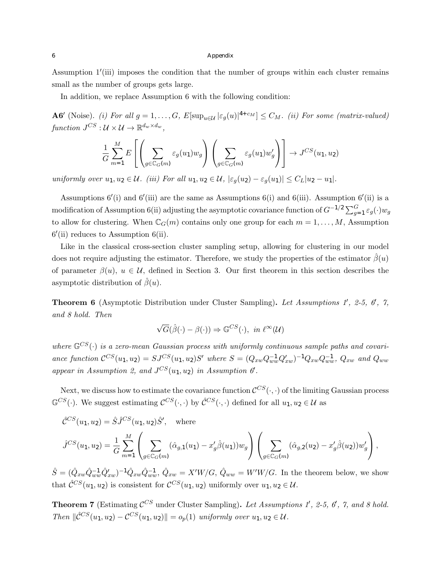Assumption  $1'$ (iii) imposes the condition that the number of groups within each cluster remains small as the number of groups gets large.

In addition, we replace Assumption 6 with the following condition:

A6' (Noise). *(i)* For all  $g = 1, ..., G$ ,  $E[\sup_{u \in \mathcal{U}} |\varepsilon_g(u)|^{4+c_M}] \leq C_M$ . *(ii)* For some *(matrix-valued) function*  $J^{CS}: \mathcal{U} \times \mathcal{U} \rightarrow \mathbb{R}^{d_w \times d_w}$ ,

$$
\frac{1}{G} \sum_{m=1}^{M} E\left[\left(\sum_{g \in \mathbb{C}_G(m)} \varepsilon_g(u_1) w_g\right) \left(\sum_{g \in \mathbb{C}_G(m)} \varepsilon_g(u_1) w'_g\right)\right] \to J^{CS}(u_1, u_2)
$$

uniformly over  $u_1, u_2 \in \mathcal{U}$ . (iii) For all  $u_1, u_2 \in \mathcal{U}$ ,  $|\varepsilon_q(u_2) - \varepsilon_q(u_1)| \leq C_L |u_2 - u_1|$ .

Assumptions  $6'(i)$  and  $6'(iii)$  are the same as Assumptions  $6(i)$  and  $6(iii)$ . Assumption  $6'(ii)$  is a modification of Assumption 6(ii) adjusting the asymptotic covariance function of  $G^{-1/2} \sum_{g=1}^{G} \varepsilon_g(\cdot) w_g$ to allow for clustering. When  $\mathbb{C}_G(m)$  contains only one group for each  $m = 1, \ldots, M$ , Assumption  $6'$ (ii) reduces to Assumption  $6$ (ii).

Like in the classical cross-section cluster sampling setup, allowing for clustering in our model does not require adjusting the estimator. Therefore, we study the properties of the estimator  $\hat{\beta}(u)$ of parameter  $\beta(u)$ ,  $u \in \mathcal{U}$ , defined in Section 3. Our first theorem in this section describes the asymptotic distribution of  $\hat{\beta}(u)$ .

**Theorem 6** (Asymptotic Distribution under Cluster Sampling). Let Assumptions 1', 2-5, 6', 7, *and 8 hold. Then*

$$
\sqrt{G}(\hat{\beta}(\cdot) - \beta(\cdot)) \Rightarrow \mathbb{G}^{CS}(\cdot), \text{ in } \ell^{\infty}(\mathcal{U})
$$

where  $\mathbb{G}^{CS}(\cdot)$  is a zero-mean Gaussian process with uniformly continuous sample paths and covariance function  $C^{CS}(u_1, u_2) = SJ^{CS}(u_1, u_2)S'$  where  $S = (Q_{xw}Q_{ww}^{-1}Q'_{xw})^{-1}Q_{xw}Q_{ww}^{-1}, Q_{xw}$  and  $Q_{ww}$ appear in Assumption 2, and  $J^{CS}(u_1, u_2)$  in Assumption  $\theta'$ .

Next, we discuss how to estimate the covariance function  $\mathcal{C}^{CS}(\cdot, \cdot)$  of the limiting Gaussian process  $\mathbb{G}^{CS}(\cdot)$ . We suggest estimating  $\mathcal{C}^{CS}(\cdot, \cdot)$  by  $\mathcal{\hat{C}}^{CS}(\cdot, \cdot)$  defined for all  $u_1, u_2 \in \mathcal{U}$  as

$$
\hat{\mathcal{C}}^{CS}(u_1, u_2) = \hat{S}\hat{J}^{CS}(u_1, u_2)\hat{S}', \text{ where}
$$
  

$$
\hat{J}^{CS}(u_1, u_2) = \frac{1}{G} \sum_{m=1}^{M} \left( \sum_{g \in \mathbb{C}_G(m)} (\hat{\alpha}_{g,1}(u_1) - x_g'\hat{\beta}(u_1))w_g \right) \left( \sum_{g \in \mathbb{C}_G(m)} (\hat{\alpha}_{g,2}(u_2) - x_g'\hat{\beta}(u_2))w_g' \right),
$$

 $\hat{S} = (\hat{Q}_{xw}\hat{Q}_{ww}^{-1}\hat{Q}_{xw}')^{-1}\hat{Q}_{xw}\hat{Q}_{ww}^{-1}, \ \hat{Q}_{xw} = X'W/G, \ \hat{Q}_{ww} = W'W/G.$  In the theorem below, we show that  $\hat{\mathcal{C}}^{CS}(u_1, u_2)$  is consistent for  $\mathcal{C}^{CS}(u_1, u_2)$  uniformly over  $u_1, u_2 \in \mathcal{U}$ .

**Theorem 7** (Estimating  $\mathcal{C}^{CS}$  under Cluster Sampling). Let Assumptions 1', 2-5, 6', 7, and 8 hold. *Then*  $\|\hat{C}^{CS}(u_1, u_2) - C^{CS}(u_1, u_2)\| = o_p(1)$  *uniformly over*  $u_1, u_2 \in \mathcal{U}$ *.*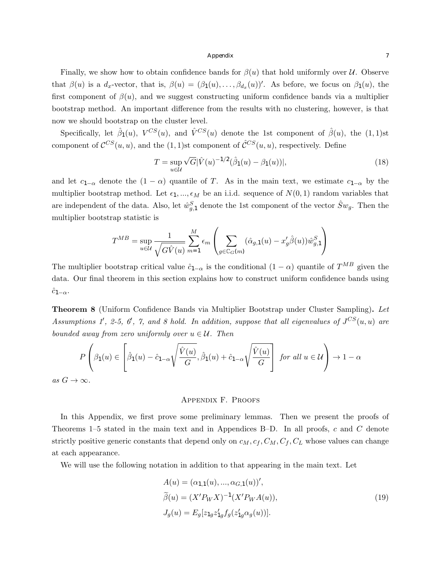Finally, we show how to obtain confidence bands for  $\beta(u)$  that hold uniformly over *U*. Observe that  $\beta(u)$  is a  $d_x$ -vector, that is,  $\beta(u)=(\beta_1(u),\ldots,\beta_{d_x}(u))'$ . As before, we focus on  $\beta_1(u)$ , the first component of  $\beta(u)$ , and we suggest constructing uniform confidence bands via a multiplier bootstrap method. An important difference from the results with no clustering, however, is that now we should bootstrap on the cluster level.

Specifically, let  $\hat{\beta}_1(u)$ ,  $V^{CS}(u)$ , and  $\hat{V}^{CS}(u)$  denote the 1st component of  $\hat{\beta}(u)$ , the (1,1)st component of  $\mathcal{C}^{CS}(u, u)$ , and the (1, 1)st component of  $\mathcal{C}^{CS}(u, u)$ , respectively. Define

$$
T = \sup_{u \in \mathcal{U}} \sqrt{G} |\hat{V}(u)^{-1/2} (\hat{\beta}_1(u) - \beta_1(u))|,
$$
\n(18)

and let  $c_{1-\alpha}$  denote the  $(1-\alpha)$  quantile of *T*. As in the main text, we estimate  $c_{1-\alpha}$  by the multiplier bootstrap method. Let  $\epsilon_1, ..., \epsilon_M$  be an i.i.d. sequence of  $N(0, 1)$  random variables that are independent of the data. Also, let  $\hat{w}_{g,1}^S$  denote the 1st component of the vector  $\hat{S}w_g$ . Then the multiplier bootstrap statistic is

$$
T^{MB} = \sup_{u \in \mathcal{U}} \frac{1}{\sqrt{G\hat{V}(u)}} \sum_{m=1}^{M} \epsilon_m \left( \sum_{g \in \mathbb{C}_G(m)} (\hat{\alpha}_{g,1}(u) - x_g'\hat{\beta}(u)) \hat{w}_{g,1}^S \right)
$$

The multiplier bootstrap critical value  $\hat{c}_{1-\alpha}$  is the conditional  $(1-\alpha)$  quantile of  $T^{MB}$  given the data. Our final theorem in this section explains how to construct uniform confidence bands using  $c_{1-\alpha}$ .

Theorem 8 (Uniform Confidence Bands via Multiplier Bootstrap under Cluster Sampling). *Let Assumptions 1'*, 2-5, 6', 7, and 8 hold. In addition, suppose that all eigenvalues of  $J^{CS}(u, u)$  are *bounded away from zero uniformly over*  $u \in \mathcal{U}$ *. Then* 

$$
P\left(\beta_1(u) \in \left[\hat{\beta}_1(u) - \hat{c}_{1-\alpha}\sqrt{\frac{\hat{V}(u)}{G}}, \hat{\beta}_1(u) + \hat{c}_{1-\alpha}\sqrt{\frac{\hat{V}(u)}{G}}\right] \text{ for all } u \in \mathcal{U}\right) \to 1-\alpha
$$

 $as\ G \to \infty$ .

### Appendix F. Proofs

In this Appendix, we first prove some preliminary lemmas. Then we present the proofs of Theorems 1–5 stated in the main text and in Appendices B–D. In all proofs, *c* and *C* denote strictly positive generic constants that depend only on  $c_M$ ,  $c_f$ ,  $C_M$ ,  $C_f$ ,  $C_L$  whose values can change at each appearance.

We will use the following notation in addition to that appearing in the main text. Let

$$
A(u) = (\alpha_{1,1}(u), ..., \alpha_{G,1}(u))',
$$
  
\n
$$
\tilde{\beta}(u) = (X'P_WX)^{-1}(X'P_WA(u)),
$$
  
\n
$$
J_g(u) = E_g[z_{1g}z'_{1g}f_g(z'_{1g}\alpha_g(u))].
$$
\n(19)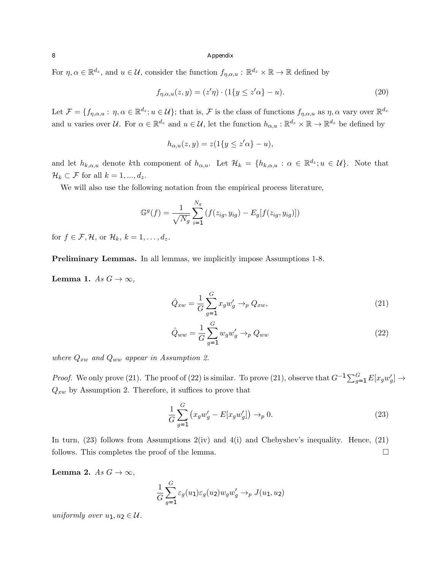For  $\eta, \alpha \in \mathbb{R}^{d_z}$ , and  $u \in \mathcal{U}$ , consider the function  $f_{\eta, \alpha, u} : \mathbb{R}^{d_z} \times \mathbb{R} \to \mathbb{R}$  defined by

$$
f_{\eta,\alpha,u}(z,y) = (z'\eta) \cdot (1\{y \le z'\alpha\} - u). \tag{20}
$$

Let  $\mathcal{F} = \{f_{\eta,\alpha,u} : \eta, \alpha \in \mathbb{R}^{d_z}; u \in \mathcal{U}\}$ ; that is,  $\mathcal{F}$  is the class of functions  $f_{\eta,\alpha,u}$  as  $\eta, \alpha$  vary over  $\mathbb{R}^{d_z}$ and *u* varies over *U*. For  $\alpha \in \mathbb{R}^{d_z}$  and  $u \in \mathcal{U}$ , let the function  $h_{\alpha,u} : \mathbb{R}^{d_z} \times \mathbb{R} \to \mathbb{R}^{d_z}$  be defined by

$$
h_{\alpha,u}(z,y) = z(1\{y \le z'\alpha\} - u),
$$

and let  $h_{k,\alpha,u}$  denote kth component of  $h_{\alpha,u}$ . Let  $\mathcal{H}_k = \{h_{k,\alpha,u} : \alpha \in \mathbb{R}^{d_z}; u \in \mathcal{U}\}\)$ . Note that  $\mathcal{H}_k \subset \mathcal{F}$  for all  $k = 1, ..., d_z$ .

We will also use the following notation from the empirical process literature,

$$
\mathbb{G}^{g}(f) = \frac{1}{\sqrt{N_g}} \sum_{i=1}^{N_g} (f(z_{ig}, y_{ig}) - E_g[f(z_{ig}, y_{ig})])
$$

for  $f \in \mathcal{F}, \mathcal{H}$ , or  $\mathcal{H}_k$ ,  $k = 1, \ldots, d_z$ .

Preliminary Lemmas. In all lemmas, we implicitly impose Assumptions 1-8.

**Lemma 1.** *As*  $G \rightarrow \infty$ *,* 

$$
\hat{Q}_{xw} = \frac{1}{G} \sum_{g=1}^{G} x_g w'_g \to_p Q_{xw},\tag{21}
$$

$$
\hat{Q}_{ww} = \frac{1}{G} \sum_{g=1}^{G} w_g w'_g \rightarrow_p Q_{ww} \tag{22}
$$

*where Qxw and Qww appear in Assumption 2.*

*Proof.* We only prove (21). The proof of (22) is similar. To prove (21), observe that  $G^{-1} \sum_{g=1}^{G} E[x_g w'_g] \to$  $Q_{xw}$  by Assumption 2. Therefore, it suffices to prove that

$$
\frac{1}{G} \sum_{g=1}^{G} \left( x_g w'_g - E[x_g w'_g] \right) \to_p 0.
$$
\n(23)

In turn,  $(23)$  follows from Assumptions  $2(iv)$  and  $4(i)$  and Chebyshev's inequality. Hence,  $(21)$ follows. This completes the proof of the lemma.  $\Box$ 

Lemma 2. *As*  $G \rightarrow \infty$ ,

$$
\frac{1}{G} \sum_{g=1}^{G} \varepsilon_g(u_1) \varepsilon_g(u_2) w_g w'_g \to_p J(u_1, u_2)
$$

*uniformly over*  $u_1, u_2 \in \mathcal{U}$ *.*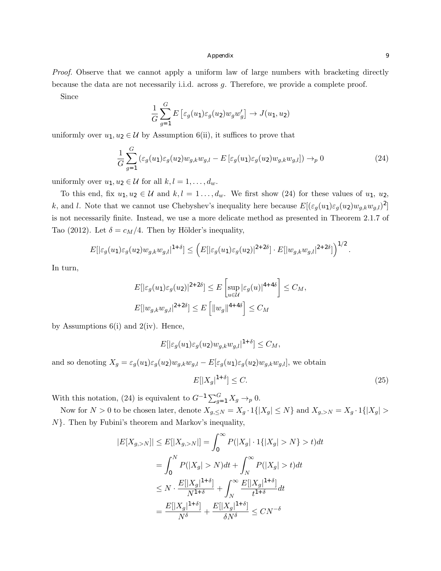*Proof.* Observe that we cannot apply a uniform law of large numbers with bracketing directly because the data are not necessarily i.i.d. across *g*. Therefore, we provide a complete proof.

Since

$$
\frac{1}{G} \sum_{g=1}^{G} E\left[\varepsilon_g(u_1)\varepsilon_g(u_2)w_gw'_g\right] \to J(u_1, u_2)
$$

uniformly over  $u_1, u_2 \in \mathcal{U}$  by Assumption 6(ii), it suffices to prove that

$$
\frac{1}{G} \sum_{g=1}^{G} \left( \varepsilon_g(u_1) \varepsilon_g(u_2) w_{g,k} w_{g,l} - E \left[ \varepsilon_g(u_1) \varepsilon_g(u_2) w_{g,k} w_{g,l} \right] \right) \to_p 0 \tag{24}
$$

uniformly over  $u_1, u_2 \in \mathcal{U}$  for all  $k, l = 1, \ldots, d_w$ .

To this end, fix  $u_1, u_2 \in \mathcal{U}$  and  $k, l = 1, \ldots, d_w$ . We first show (24) for these values of  $u_1, u_2$ , *k*, and *l*. Note that we cannot use Chebyshev's inequality here because  $E[(\varepsilon_g(u_1)\varepsilon_g(u_2)w_{g,k}w_{g,l})^2]$ is not necessarily finite. Instead, we use a more delicate method as presented in Theorem 2.1.7 of Tao (2012). Let  $\delta = c_M/4$ . Then by Hölder's inequality,

$$
E[|\varepsilon_g(u_1)\varepsilon_g(u_2)w_{g,k}w_{g,l}|^{1+\delta}] \leq \left(E[|\varepsilon_g(u_1)\varepsilon_g(u_2)|^{2+2\delta}] \cdot E[|w_{g,k}w_{g,l}|^{2+2\delta}] \right)^{1/2}
$$

In turn,

$$
E[|\varepsilon_g(u_1)\varepsilon_g(u_2)|^{2+2\delta}] \le E\left[\sup_{u\in\mathcal{U}}|\varepsilon_g(u)|^{4+4\delta}\right] \le C_M,
$$
  

$$
E[|w_{g,k}w_{g,l}|^{2+2\delta}] \le E\left[\|w_g\|^{4+4\delta}\right] \le C_M
$$

by Assumptions  $6(i)$  and  $2(iv)$ . Hence,

$$
E[|\varepsilon_g(u_1)\varepsilon_g(u_2)w_{g,k}w_{g,l}|^{1+\delta}]\leq C_M,
$$
  
and so denoting  $X_g = \varepsilon_g(u_1)\varepsilon_g(u_2)w_{g,k}w_{g,l} - E[\varepsilon_g(u_1)\varepsilon_g(u_2)w_{g,k}w_{g,l}],$  we obtain

$$
E[|X_g|^{1+\delta}] \le C. \tag{25}
$$

With this notation, (24) is equivalent to  $G^{-1} \sum_{g=1}^{G} X_g \rightarrow_p 0$ .

Now for  $N > 0$  to be chosen later, denote  $X_{g, \leq N} = X_g \cdot 1\{|X_g| \leq N\}$  and  $X_{g, > N} = X_g \cdot 1\{|X_g| >$ *N}*. Then by Fubini's theorem and Markov's inequality,

$$
|E[X_{g,>N}]| \leq E[|X_{g,>N}|] = \int_0^\infty P(|X_g| \cdot 1\{|X_g| > N\} > t)dt
$$
  

$$
= \int_0^N P(|X_g| > N)dt + \int_N^\infty P(|X_g| > t)dt
$$
  

$$
\leq N \cdot \frac{E[|X_g|^{1+\delta}]}{N^{1+\delta}} + \int_N^\infty \frac{E[|X_g|^{1+\delta}]}{t^{1+\delta}}dt
$$
  

$$
= \frac{E[|X_g|^{1+\delta}]}{N^\delta} + \frac{E[|X_g|^{1+\delta}]}{\delta N^\delta} \leq C N^{-\delta}
$$

*.*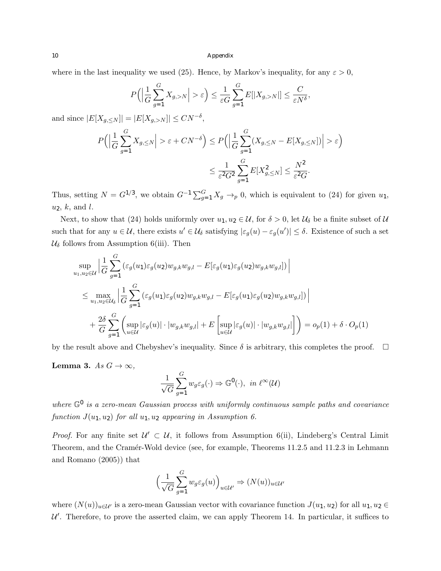where in the last inequality we used (25). Hence, by Markov's inequality, for any  $\varepsilon > 0$ ,

$$
P\Big(\Big|\frac{1}{G}\sum_{g=1}^G X_{g,>N}\Big|>\varepsilon\Big) \leq \frac{1}{\varepsilon G}\sum_{g=1}^G E[|X_{g,>N}|] \leq \frac{C}{\varepsilon N^{\delta}},
$$

and since  $|E[X_{g,\leq N}]| = |E[X_{g,>N}]| \leq CN^{-\delta}$ ,

$$
P\Big(\Big|\frac{1}{G}\sum_{g=1}^{G}X_{g,\leq N}\Big|>\varepsilon+C N^{-\delta}\Big)\leq P\Big(\Big|\frac{1}{G}\sum_{g=1}^{G}(X_{g,\leq N}-E[X_{g,\leq N}])\Big|>\varepsilon\Big)\leq \frac{1}{\varepsilon^2G^2}\sum_{g=1}^{G}E[X_{g,\leq N}^2]\leq \frac{N^2}{\varepsilon^2G}.
$$

Thus, setting  $N = G^{1/3}$ , we obtain  $G^{-1} \sum_{g=1}^{G} X_g \rightarrow_p 0$ , which is equivalent to (24) for given  $u_1$ , *u*2, *k*, and *l*.

Next, to show that (24) holds uniformly over  $u_1, u_2 \in \mathcal{U}$ , for  $\delta > 0$ , let  $\mathcal{U}_{\delta}$  be a finite subset of  $\mathcal{U}$ such that for any  $u \in \mathcal{U}$ , there exists  $u' \in \mathcal{U}_{\delta}$  satisfying  $|\varepsilon_g(u) - \varepsilon_g(u')| \leq \delta$ . Existence of such a set  $\mathcal{U}_{\delta}$  follows from Assumption 6(iii). Then

$$
\sup_{u_1, u_2 \in \mathcal{U}} \left| \frac{1}{G} \sum_{g=1}^G \left( \varepsilon_g(u_1) \varepsilon_g(u_2) w_{g,k} w_{g,l} - E[\varepsilon_g(u_1) \varepsilon_g(u_2) w_{g,k} w_{g,l}] \right) \right|
$$
  

$$
\leq \max_{u_1, u_2 \in \mathcal{U}_{\delta}} \left| \frac{1}{G} \sum_{g=1}^G \left( \varepsilon_g(u_1) \varepsilon_g(u_2) w_{g,k} w_{g,l} - E[\varepsilon_g(u_1) \varepsilon_g(u_2) w_{g,k} w_{g,l}] \right) \right|
$$
  

$$
+ \frac{2\delta}{G} \sum_{g=1}^G \left( \sup_{u \in \mathcal{U}} |\varepsilon_g(u)| \cdot |w_{g,k} w_{g,l}| + E \left[ \sup_{u \in \mathcal{U}} |\varepsilon_g(u)| \cdot |w_{g,k} w_{g,l}| \right] \right) = o_p(1) + \delta \cdot O_p(1)
$$

by the result above and Chebyshev's inequality. Since  $\delta$  is arbitrary, this completes the proof.  $\Box$ 

**Lemma 3.**  $As\ G \to \infty$ ,

$$
\frac{1}{\sqrt{G}}\sum_{g=1}^{G} w_g \varepsilon_g(\cdot) \Rightarrow \mathbb{G}^0(\cdot), \text{ in } \ell^{\infty}(\mathcal{U})
$$

*where*  $\mathbb{G}^0$  *is a zero-mean Gaussian process with uniformly continuous sample paths and covariance function*  $J(u_1, u_2)$  *for all*  $u_1, u_2$  *appearing in Assumption 6.* 

*Proof.* For any finite set  $\mathcal{U}' \subset \mathcal{U}$ , it follows from Assumption 6(ii), Lindeberg's Central Limit Theorem, and the Cramér-Wold device (see, for example, Theorems 11.2.5 and 11.2.3 in Lehmann and Romano (2005)) that

$$
\left(\frac{1}{\sqrt{G}}\sum_{g=1}^{G} w_g \varepsilon_g(u)\right)_{u \in \mathcal{U}'} \Rightarrow (N(u))_{u \in \mathcal{U}'}
$$

where  $(N(u))_{u\in\mathcal{U}}$  is a zero-mean Gaussian vector with covariance function  $J(u_1, u_2)$  for all  $u_1, u_2 \in$  $U'$ . Therefore, to prove the asserted claim, we can apply Theorem 14. In particular, it suffices to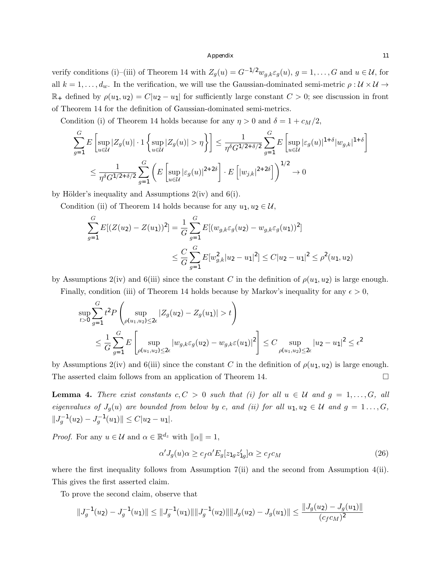verify conditions (i)–(iii) of Theorem 14 with  $Z_g(u) = G^{-1/2}w_{g,k} \varepsilon_g(u)$ ,  $g = 1, \ldots, G$  and  $u \in \mathcal{U}$ , for all  $k = 1, \ldots, d_w$ . In the verification, we will use the Gaussian-dominated semi-metric  $\rho : U \times U \rightarrow$  $\mathbb{R}_+$  defined by  $\rho(u_1, u_2) = C|u_2 - u_1|$  for sufficiently large constant  $C > 0$ ; see discussion in front of Theorem 14 for the definition of Gaussian-dominated semi-metrics.

Condition (i) of Theorem 14 holds because for any  $\eta > 0$  and  $\delta = 1 + c_M/2$ ,

$$
\sum_{g=1}^{G} E\left[\sup_{u\in\mathcal{U}} |Z_g(u)| \cdot 1 \left\{ \sup_{u\in\mathcal{U}} |Z_g(u)| > \eta \right\} \right] \le \frac{1}{\eta^{\delta} G^{1/2+\delta/2}} \sum_{g=1}^{G} E\left[\sup_{u\in\mathcal{U}} |\varepsilon_g(u)|^{1+\delta} |w_{g,k}|^{1+\delta} \right]
$$
  

$$
\le \frac{1}{\eta^{\delta} G^{1/2+\delta/2}} \sum_{g=1}^{G} \left( E\left[\sup_{u\in\mathcal{U}} |\varepsilon_g(u)|^{2+2\delta} \right] \cdot E\left[ |w_{j,k}|^{2+2\delta} \right] \right)^{1/2} \to 0
$$

by Hölder's inequality and Assumptions  $2(iv)$  and  $6(i)$ .

Condition (ii) of Theorem 14 holds because for any  $u_1, u_2 \in \mathcal{U}$ ,

$$
\sum_{g=1}^{G} E[(Z(u_2) - Z(u_1))^2] = \frac{1}{G} \sum_{g=1}^{G} E[(w_{g,k} \varepsilon_g(u_2) - w_{g,k} \varepsilon_g(u_1))^2]
$$
  

$$
\leq \frac{C}{G} \sum_{g=1}^{G} E[w_{g,k}^2 | u_2 - u_1|^2] \leq C|u_2 - u_1|^2 \leq \rho^2(u_1, u_2)
$$

by Assumptions 2(iv) and 6(iii) since the constant *C* in the definition of  $\rho(u_1, u_2)$  is large enough.

Finally, condition (iii) of Theorem 14 holds because by Markov's inequality for any  $\epsilon > 0$ ,

$$
\sup_{t>0} \sum_{g=1}^{G} t^2 P\left(\sup_{\rho(u_1, u_2) \le 2\epsilon} |Z_g(u_2) - Z_g(u_1)| > t\right)
$$
  

$$
\le \frac{1}{G} \sum_{g=1}^{G} E\left[\sup_{\rho(u_1, u_2) \le 2\epsilon} |w_{g,k} \varepsilon_g(u_2) - w_{g,k} \varepsilon(u_1)|^2\right] \le C \sup_{\rho(u_1, u_2) \le 2\epsilon} |u_2 - u_1|^2 \le \epsilon^2
$$

by Assumptions 2(iv) and 6(iii) since the constant *C* in the definition of  $\rho(u_1, u_2)$  is large enough. The asserted claim follows from an application of Theorem 14.  $\Box$ 

**Lemma 4.** There exist constants  $c, C > 0$  such that (i) for all  $u \in U$  and  $g = 1, \ldots, G$ , all *eigenvalues of*  $J_g(u)$  *are bounded from below by c, and (ii) for all*  $u_1, u_2 \in \mathcal{U}$  *and*  $g = 1, ..., G$ *,*  $||J_g^{-1}(u_2) - J_g^{-1}(u_1)|| \leq C|u_2 - u_1|$ .

*Proof.* For any  $u \in \mathcal{U}$  and  $\alpha \in \mathbb{R}^{d_z}$  with  $\|\alpha\| = 1$ ,

$$
\alpha' J_g(u)\alpha \ge c_f \alpha' E_g[z_{1g} z'_{1g}]\alpha \ge c_f c_M \tag{26}
$$

where the first inequality follows from Assumption 7(ii) and the second from Assumption 4(ii). This gives the first asserted claim.

To prove the second claim, observe that

$$
||J_g^{-1}(u_2) - J_g^{-1}(u_1)|| \le ||J_g^{-1}(u_1)|| ||J_g^{-1}(u_2)|| ||J_g(u_2) - J_g(u_1)|| \le \frac{||J_g(u_2) - J_g(u_1)||}{(c_f c_M)^2}
$$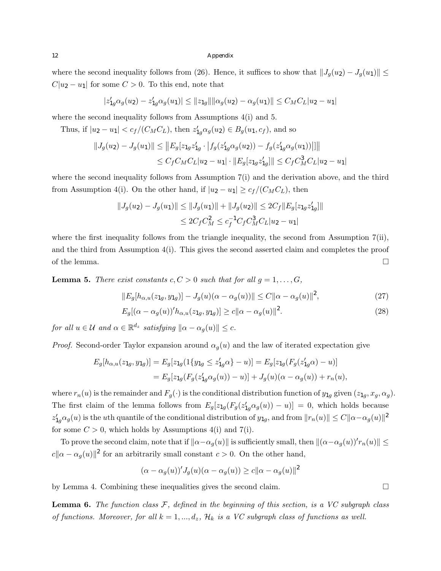where the second inequality follows from (26). Hence, it suffices to show that  $||J_g(u_2) - J_g(u_1)|| \le$  $C|u_2 - u_1|$  for some  $C > 0$ . To this end, note that

$$
|z'_{1g}\alpha_g(u_2) - z'_{1g}\alpha_g(u_1)| \leq ||z_{1g}|| ||\alpha_g(u_2) - \alpha_g(u_1)|| \leq C_M C_L |u_2 - u_1|
$$

where the second inequality follows from Assumptions  $4(i)$  and 5.

Thus, if  $|u_2 - u_1| < c_f/(C_M C_L)$ , then  $z'_{1g} \alpha_g(u_2) \in B_g(u_1, c_f)$ , and so

$$
||J_g(u_2) - J_g(u_1)|| \le ||E_g[z_{1g}z'_{1g} \cdot |f_g(z'_{1g}\alpha_g(u_2)) - f_g(z'_{1g}\alpha_g(u_1))||||
$$
  

$$
\le C_f C_M C_L |u_2 - u_1| \cdot ||E_g[z_{1g}z'_{1g}]|| \le C_f C_M^3 C_L |u_2 - u_1|
$$

where the second inequality follows from Assumption 7(i) and the derivation above, and the third from Assumption 4(i). On the other hand, if  $|u_2 - u_1| \geq c_f/(C_M C_L)$ , then

$$
||J_g(u_2) - J_g(u_1)|| \le ||J_g(u_1)|| + ||J_g(u_2)|| \le 2C_f ||E_g[z_{1g}z'_{1g}]||
$$
  

$$
\le 2C_f C_M^2 \le c_f^{-1} C_f C_M^3 C_L |u_2 - u_1|
$$

where the first inequality follows from the triangle inequality, the second from Assumption 7(ii), and the third from Assumption  $4(i)$ . This gives the second asserted claim and completes the proof of the lemma.  $\Box$ 

**Lemma 5.** *There exist constants*  $c, C > 0$  *such that for all*  $g = 1, \ldots, G$ *,* 

$$
||E_g[h_{\alpha,u}(z_{1g}, y_{1g})] - J_g(u)(\alpha - \alpha_g(u))|| \le C ||\alpha - \alpha_g(u)||^2,
$$
\n(27)

$$
E_g[(\alpha - \alpha_g(u))' h_{\alpha,u}(z_{1g}, y_{1g})] \ge c ||\alpha - \alpha_g(u)||^2.
$$
\n(28)

*for all*  $u \in \mathcal{U}$  *and*  $\alpha \in \mathbb{R}^{d_z}$  *satisfying*  $\|\alpha - \alpha_q(u)\| \leq c$ *.* 

*Proof.* Second-order Taylor expansion around  $\alpha_q(u)$  and the law of iterated expectation give

$$
E_g[h_{\alpha,u}(z_{1g}, y_{1g})] = E_g[z_{1g}(1\{y_{1g} \le z'_{1g}\alpha\} - u)] = E_g[z_{1g}(F_g(z'_{1g}\alpha) - u)]
$$
  
= 
$$
E_g[z_{1g}(F_g(z'_{1g}\alpha_g(u)) - u)] + J_g(u)(\alpha - \alpha_g(u)) + r_n(u),
$$

where  $r_n(u)$  is the remainder and  $F_g(\cdot)$  is the conditional distribution function of  $y_{1g}$  given  $(z_{1g}, x_g, \alpha_g)$ . The first claim of the lemma follows from  $E_g[z_{1g}(F_g(z'_{1g}\alpha_g(u)) - u)] = 0$ , which holds because  $z'_{1g}\alpha_g(u)$  is the *u*th quantile of the conditional distribution of  $y_{1g}$ , and from  $\|r_n(u)\| \leq C \|\alpha - \alpha_g(u)\|^2$ for some  $C > 0$ , which holds by Assumptions 4(i) and 7(i).

To prove the second claim, note that if  $\|\alpha-\alpha_g(u)\|$  is sufficiently small, then  $\|(\alpha-\alpha_g(u))^r r_n(u)\| \le$  $c||\alpha - \alpha_g(u)||^2$  for an arbitrarily small constant  $c > 0$ . On the other hand,

$$
(\alpha - \alpha_g(u))'J_g(u)(\alpha - \alpha_g(u)) \ge c ||\alpha - \alpha_g(u)||^2
$$

by Lemma 4. Combining these inequalities gives the second claim.  $\Box$ 

Lemma 6. *The function class F, defined in the beginning of this section, is a VC subgraph class of functions. Moreover, for all*  $k = 1, ..., d_z,$   $\mathcal{H}_k$  *is a VC subgraph class of functions as well.*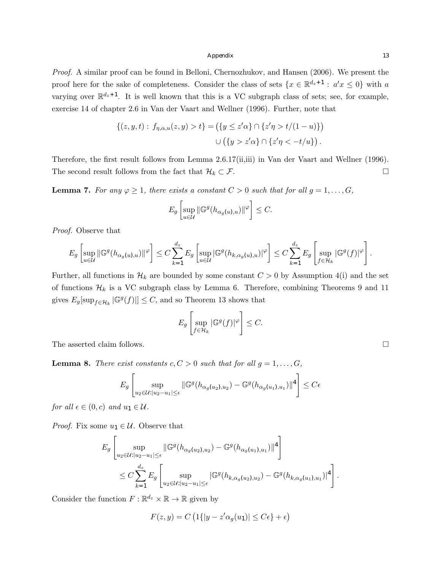*Proof.* A similar proof can be found in Belloni, Chernozhukov, and Hansen (2006). We present the proof here for the sake of completeness. Consider the class of sets  $\{x \in \mathbb{R}^{d_z+1} : a'x \leq 0\}$  with *a* varying over  $\mathbb{R}^{d_z+1}$ . It is well known that this is a VC subgraph class of sets; see, for example, exercise 14 of chapter 2.6 in Van der Vaart and Wellner (1996). Further, note that

$$
\{(z, y, t): f_{\eta, \alpha, u}(z, y) > t\} = (\{y \le z'\alpha\} \cap \{z'\eta > t/(1-u)\})
$$
  

$$
\cup (\{y > z'\alpha\} \cap \{z'\eta < -t/u\}).
$$

Therefore, the first result follows from Lemma 2.6.17(ii,iii) in Van der Vaart and Wellner (1996). The second result follows from the fact that  $\mathcal{H}_k \subset \mathcal{F}$ .

**Lemma 7.** For any  $\varphi \geq 1$ , there exists a constant  $C > 0$  such that for all  $g = 1, \ldots, G$ ,

$$
E_g\left[\sup_{u\in\mathcal{U}}\|\mathbb{G}^g(h_{\alpha_g(u),u})\|^{\varphi}\right]\leq C.
$$

*Proof.* Observe that

$$
E_g \left[ \sup_{u \in \mathcal{U}} \left\| \mathbb{G}^g(h_{\alpha_g(u),u}) \right\|^{\varphi} \right] \leq C \sum_{k=1}^{d_z} E_g \left[ \sup_{u \in \mathcal{U}} \left| \mathbb{G}^g(h_{k,\alpha_g(u),u}) \right|^{\varphi} \right] \leq C \sum_{k=1}^{d_z} E_g \left[ \sup_{f \in \mathcal{H}_k} \left| \mathbb{G}^g(f) \right|^{\varphi} \right].
$$

Further, all functions in  $\mathcal{H}_k$  are bounded by some constant  $C > 0$  by Assumption 4(i) and the set of functions  $\mathcal{H}_k$  is a VC subgraph class by Lemma 6. Therefore, combining Theorems 9 and 11 gives  $E_g[\sup_{f \in \mathcal{H}_k} |\mathbb{G}^g(f)|] \leq C$ , and so Theorem 13 shows that

$$
E_g\left[\sup_{f\in\mathcal{H}_k}|\mathbb{G}^g(f)|^{\varphi}\right]\leq C.
$$

The asserted claim follows.  $\Box$ 

**Lemma 8.** *There exist constants*  $c, C > 0$  *such that for all*  $g = 1, \ldots, G$ *,* 

$$
E_g \left[ \sup_{u_2 \in \mathcal{U}: |u_2 - u_1| \le \epsilon} \| \mathbb{G}^g(h_{\alpha_g(u_2), u_2}) - \mathbb{G}^g(h_{\alpha_g(u_1), u_1}) \|^4 \right] \le C\epsilon
$$

*for all*  $\epsilon \in (0, c)$  *and*  $u_1 \in \mathcal{U}$ *.* 

*Proof.* Fix some  $u_1 \in \mathcal{U}$ . Observe that

$$
E_g \left[ \sup_{u_2 \in \mathcal{U}: |u_2 - u_1| \le \epsilon} \| \mathbb{G}^g(h_{\alpha_g(u_2), u_2}) - \mathbb{G}^g(h_{\alpha_g(u_1), u_1}) \|^4 \right]
$$
  

$$
\le C \sum_{k=1}^{d_z} E_g \left[ \sup_{u_2 \in \mathcal{U}: |u_2 - u_1| \le \epsilon} | \mathbb{G}^g(h_{k, \alpha_g(u_2), u_2}) - \mathbb{G}^g(h_{k, \alpha_g(u_1), u_1}) |^4 \right].
$$

Consider the function  $F: \mathbb{R}^{d_z} \times \mathbb{R} \to \mathbb{R}$  given by

$$
F(z, y) = C \left( 1\{ |y - z'\alpha_g(u_1)| \le C\epsilon \} + \epsilon \right)
$$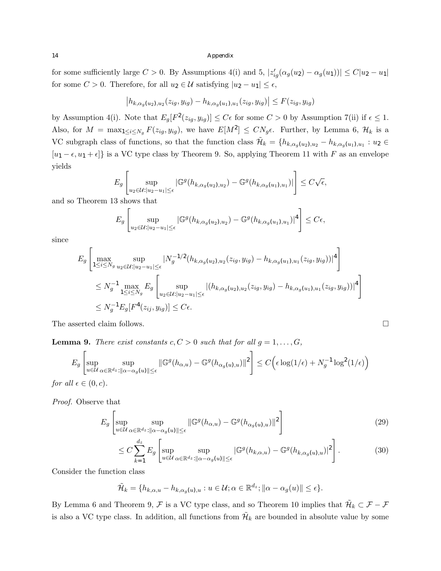for some sufficiently large  $C > 0$ . By Assumptions 4(i) and 5,  $|z'_{ig}(\alpha_g(u_2) - \alpha_g(u_1))| \le C|u_2 - u_1|$ for some  $C > 0$ . Therefore, for all  $u_2 \in \mathcal{U}$  satisfying  $|u_2 - u_1| \leq \epsilon$ ,

$$
|h_{k,\alpha_g(u_2),u_2}(z_{ig},y_{ig}) - h_{k,\alpha_g(u_1),u_1}(z_{ig},y_{ig})| \le F(z_{ig},y_{ig})
$$

by Assumption 4(i). Note that  $E_g[F^2(z_{ig}, y_{ig})] \leq C\epsilon$  for some  $C > 0$  by Assumption 7(ii) if  $\epsilon \leq 1$ . Also, for  $M = \max_{1 \le i \le N_g} F(z_{ig}, y_{ig}),$  we have  $E[M^2] \le CN_g \epsilon$ . Further, by Lemma 6,  $\mathcal{H}_k$  is a VC subgraph class of functions, so that the function class  $\tilde{\mathcal{H}}_k = \{h_{k,\alpha_q(u_2),u_2} - h_{k,\alpha_q(u_1),u_1} : u_2 \in$  $[u_1 - \epsilon, u_1 + \epsilon]$ <sup>}</sup> is a VC type class by Theorem 9. So, applying Theorem 11 with *F* as an envelope yields

$$
E_g\left[\sup_{u_2\in\mathcal{U}:|u_2-u_1|\leq\epsilon}|\mathbb{G}^g(h_{k,\alpha_g(u_2),u_2})-\mathbb{G}^g(h_{k,\alpha_g(u_1),u_1})|\right]\leq C\sqrt{\epsilon},
$$

and so Theorem 13 shows that

$$
E_g\left[\sup_{u_2\in\mathcal{U}:|u_2-u_1|\leq\epsilon}|\mathbb{G}^g(h_{k,\alpha_g(u_2),u_2})-\mathbb{G}^g(h_{k,\alpha_g(u_1),u_1})|^4\right]\leq C\epsilon,
$$

since

$$
E_g \left[ \max_{1 \le i \le N_g} \sup_{u_2 \in \mathcal{U}: |u_2 - u_1| \le \epsilon} |N_g^{-1/2}(h_{k, \alpha_g(u_2), u_2}(z_{ig}, y_{ig}) - h_{k, \alpha_g(u_1), u_1}(z_{ig}, y_{ig}))|^4 \right]
$$
  

$$
\le N_g^{-1} \max_{1 \le i \le N_g} E_g \left[ \sup_{u_2 \in \mathcal{U}: |u_2 - u_1| \le \epsilon} |(h_{k, \alpha_g(u_2), u_2}(z_{ig}, y_{ig}) - h_{k, \alpha_g(u_1), u_1}(z_{ig}, y_{ig}))|^4 \right]
$$
  

$$
\le N_g^{-1} E_g[F^4(z_{ij}, y_{ig})] \le C\epsilon.
$$

The asserted claim follows.  $\Box$ 

**Lemma 9.** *There exist constants*  $c, C > 0$  *such that for all*  $g = 1, \ldots, G$ *,* 

$$
E_g \left[ \sup_{u \in \mathcal{U}} \sup_{\alpha \in \mathbb{R}^{d_z} : ||\alpha - \alpha_g(u)|| \le \epsilon} ||\mathbb{G}^g(h_{\alpha,u}) - \mathbb{G}^g(h_{\alpha_g(u),u})||^2 \right] \le C \Big( \epsilon \log(1/\epsilon) + N_g^{-1} \log^2(1/\epsilon) \Big)
$$

*for all*  $\epsilon \in (0, c)$ *.* 

*Proof.* Observe that

$$
E_g \left[ \sup_{u \in \mathcal{U}} \sup_{\alpha \in \mathbb{R}^{d_z} : ||\alpha - \alpha_g(u)|| \le \epsilon} ||\mathbb{G}^g(h_{\alpha,u}) - \mathbb{G}^g(h_{\alpha_g(u),u})||^2 \right]
$$
(29)

$$
\leq C \sum_{k=1}^{d_z} E_g \left[ \sup_{u \in \mathcal{U}} \sup_{\alpha \in \mathbb{R}^{d_z} : ||\alpha - \alpha_g(u)|| \leq \epsilon} |\mathbb{G}^g(h_{k,\alpha,u}) - \mathbb{G}^g(h_{k,\alpha_g(u),u})|^2 \right]. \tag{30}
$$

Consider the function class

$$
\widetilde{\mathcal{H}}_k = \{ h_{k,\alpha,u} - h_{k,\alpha_g(u),u} : u \in \mathcal{U}; \alpha \in \mathbb{R}^{d_z}; ||\alpha - \alpha_g(u)|| \leq \epsilon \}.
$$

By Lemma 6 and Theorem 9,  $\mathcal F$  is a VC type class, and so Theorem 10 implies that  $\tilde{\mathcal H}_k \subset \mathcal F - \mathcal F$ is also a VC type class. In addition, all functions from  $\mathcal{H}_k$  are bounded in absolute value by some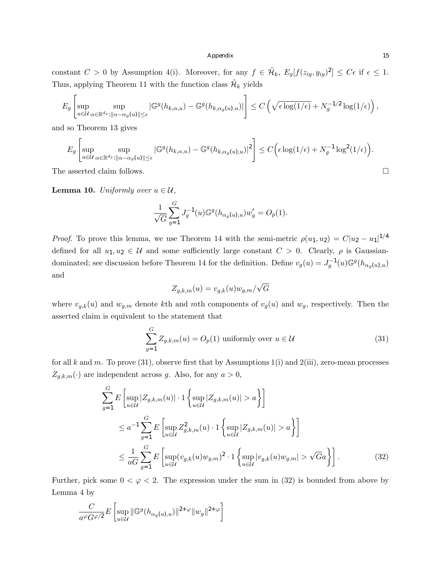constant  $C > 0$  by Assumption 4(i). Moreover, for any  $f \in \mathcal{H}_k$ ,  $E_q[f(z_{iq}, y_{iq})^2] \leq C\epsilon$  if  $\epsilon \leq 1$ . Thus, applying Theorem 11 with the function class  $\tilde{\mathcal{H}}_k$  yields

$$
E_g\left[\sup_{u\in\mathcal{U}}\sup_{\alpha\in\mathbb{R}^{d_z}:\|\alpha-\alpha_g(u)\|\leq\epsilon}|\mathbb{G}^g(h_{k,\alpha,u})-\mathbb{G}^g(h_{k,\alpha_g(u),u})|\right]\leq C\left(\sqrt{\epsilon\log(1/\epsilon)}+N_g^{-1/2}\log(1/\epsilon)\right),
$$

and so Theorem 13 gives

$$
E_g\left[\sup_{u\in\mathcal{U}}\sup_{\alpha\in\mathbb{R}^{d_z}:\|\alpha-\alpha_g(u)\|\leq\epsilon}|\mathbb{G}^g(h_{k,\alpha,u})-\mathbb{G}^g(h_{k,\alpha_g(u),u})|^2\right]\leq C\Big(\epsilon\log(1/\epsilon)+N_g^{-1}\log^2(1/\epsilon)\Big).
$$

The asserted claim follows.  $\Box$ 

**Lemma 10.** *Uniformly over*  $u \in \mathcal{U}$ ,

$$
\frac{1}{\sqrt{G}} \sum_{g=1}^{G} J_g^{-1}(u) \mathbb{G}^g(h_{\alpha_g(u),u}) w'_g = O_p(1).
$$

*Proof.* To prove this lemma, we use Theorem 14 with the semi-metric  $\rho(u_1, u_2) = C|u_2 - u_1|^{1/4}$ defined for all  $u_1, u_2 \in \mathcal{U}$  and some sufficiently large constant  $C > 0$ . Clearly,  $\rho$  is Gaussiandominated; see discussion before Theorem 14 for the definition. Define  $v_g(u) = J_g^{-1}(u) \mathbb{G}^g(h_{\alpha_g(u),u})$ and

$$
Z_{g,k,m}(u) = v_{g,k}(u)w_{g,m}/\sqrt{G}
$$

where  $v_{g,k}(u)$  and  $w_{g,m}$  denote kth and *m*th components of  $v_g(u)$  and  $w_g$ , respectively. Then the asserted claim is equivalent to the statement that

$$
\sum_{g=1}^{G} Z_{g,k,m}(u) = O_p(1) \text{ uniformly over } u \in \mathcal{U}
$$
\n(31)

for all  $k$  and  $m$ . To prove (31), observe first that by Assumptions 1(i) and 2(iii), zero-mean processes  $Z_{g,k,m}(\cdot)$  are independent across *g*. Also, for any  $a > 0$ ,

$$
\sum_{g=1}^{G} E\left[\sup_{u \in \mathcal{U}} |Z_{g,k,m}(u)| \cdot 1 \left\{ \sup_{u \in \mathcal{U}} |Z_{g,k,m}(u)| > a \right\} \right]
$$
\n
$$
\leq a^{-1} \sum_{g=1}^{G} E\left[\sup_{u \in \mathcal{U}} Z_{g,k,m}^2(u) \cdot 1 \left\{ \sup_{u \in \mathcal{U}} |Z_{g,k,m}(u)| > a \right\} \right]
$$
\n
$$
\leq \frac{1}{aG} \sum_{g=1}^{G} E\left[\sup_{u \in \mathcal{U}} (v_{g,k}(u)w_{g,m})^2 \cdot 1 \left\{ \sup_{u \in \mathcal{U}} |v_{g,k}(u)w_{g,m}| > \sqrt{G}a \right\} \right].
$$
\n(32)

Further, pick some  $0 < \varphi < 2$ . The expression under the sum in (32) is bounded from above by Lemma 4 by

$$
\frac{C}{a^{\varphi}G^{\varphi/2}}E\left[\sup_{u\in\mathcal{U}}\|\mathbb{G}^{g}(h_{\alpha_{g}(u),u})\|^{2+\varphi}\|w_{g}\|^{2+\varphi}\right]
$$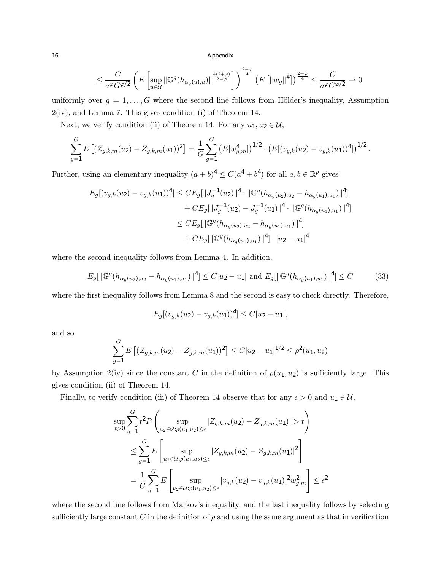$$
\leq \frac{C}{a^{\varphi}G^{\varphi/2}} \left( E \left[ \sup_{u \in \mathcal{U}} \left\| \mathbb{G}^g(h_{\alpha_g(u), u}) \right\|_{\frac{2-\varphi}{2-\varphi}}^{\frac{4(2+\varphi)}{4}} \right] \right)^{\frac{2-\varphi}{4}} \left( E \left[ \left\| w_g \right\|^4 \right] \right)^{\frac{2+\varphi}{4}} \leq \frac{C}{a^{\varphi}G^{\varphi/2}} \to 0
$$

uniformly over  $g = 1, \ldots, G$  where the second line follows from Hölder's inequality, Assumption 2(iv), and Lemma 7. This gives condition (i) of Theorem 14.

Next, we verify condition (ii) of Theorem 14. For any  $u_1, u_2 \in \mathcal{U}$ ,

$$
\sum_{g=1}^G E\left[ (Z_{g,k,m}(u_2) - Z_{g,k,m}(u_1))^2 \right] = \frac{1}{G} \sum_{g=1}^G \left( E[w_{g,m}^4] \right)^{1/2} \cdot \left( E[(v_{g,k}(u_2) - v_{g,k}(u_1))^4] \right)^{1/2}.
$$

Further, using an elementary inequality  $(a + b)^4 \leq C(a^4 + b^4)$  for all  $a, b \in \mathbb{R}^p$  gives

$$
E_g[(v_{g,k}(u_2) - v_{g,k}(u_1))^4] \leq CE_g[\|J_g^{-1}(u_2)\|^4 \cdot \|\mathbb{G}^g(h_{\alpha_g(u_2), u_2} - h_{\alpha_g(u_1), u_1})\|^4]
$$
  
+  $CE_g[\|J_g^{-1}(u_2) - J_g^{-1}(u_1)\|^4 \cdot \|\mathbb{G}^g(h_{\alpha_g(u_1), u_1})\|^4]$   
 $\leq CE_g[\|\mathbb{G}^g(h_{\alpha_g(u_2), u_2} - h_{\alpha_g(u_1), u_1})\|^4]$   
+  $CE_g[\|\mathbb{G}^g(h_{\alpha_g(u_1), u_1})\|^4] \cdot |u_2 - u_1|^4$ 

where the second inequality follows from Lemma 4. In addition,

$$
E_g[\|\mathbb{G}^g(h_{\alpha_g(u_2), u_2} - h_{\alpha_g(u_1), u_1})\|^4] \le C|u_2 - u_1| \text{ and } E_g[\|\mathbb{G}^g(h_{\alpha_g(u_1), u_1})\|^4] \le C \tag{33}
$$

where the first inequality follows from Lemma 8 and the second is easy to check directly. Therefore,

$$
E_g[(v_{g,k}(u_2) - v_{g,k}(u_1))^4] \le C|u_2 - u_1|,
$$

and so

*G*

$$
\sum_{g=1}^{G} E\left[ (Z_{g,k,m}(u_2) - Z_{g,k,m}(u_1))^2 \right] \le C |u_2 - u_1|^{1/2} \le \rho^2(u_1, u_2)
$$

by Assumption 2(iv) since the constant *C* in the definition of  $\rho(u_1, u_2)$  is sufficiently large. This gives condition (ii) of Theorem 14.

Finally, to verify condition (iii) of Theorem 14 observe that for any  $\epsilon > 0$  and  $u_1 \in \mathcal{U}$ ,

$$
\sup_{t>0} \sum_{g=1}^{G} t^2 P\left(\sup_{u_2 \in \mathcal{U} : \rho(u_1, u_2) \le \epsilon} |Z_{g,k,m}(u_2) - Z_{g,k,m}(u_1)| > t\right)
$$
  

$$
\le \sum_{g=1}^{G} E\left[\sup_{u_2 \in \mathcal{U} : \rho(u_1, u_2) \le \epsilon} |Z_{g,k,m}(u_2) - Z_{g,k,m}(u_1)|^2\right]
$$
  

$$
= \frac{1}{G} \sum_{g=1}^{G} E\left[\sup_{u_2 \in \mathcal{U} : \rho(u_1, u_2) \le \epsilon} |v_{g,k}(u_2) - v_{g,k}(u_1)|^2 w_{g,m}^2\right] \le \epsilon^2
$$

where the second line follows from Markov's inequality, and the last inequality follows by selecting sufficiently large constant  $C$  in the definition of  $\rho$  and using the same argument as that in verification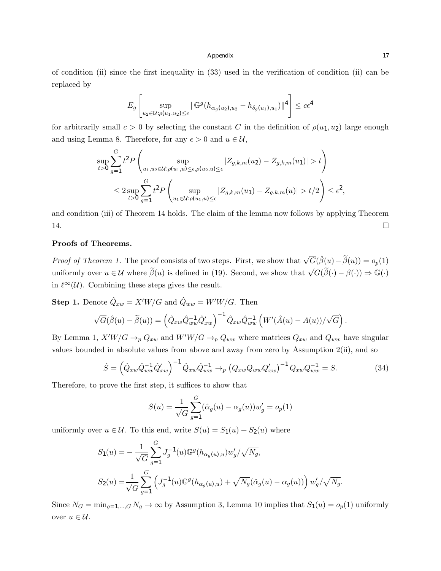of condition (ii) since the first inequality in (33) used in the verification of condition (ii) can be replaced by

$$
E_g \left[ \sup_{u_2 \in \mathcal{U} : \rho(u_1, u_2) \le \epsilon} \| \mathbb{G}^g (h_{\alpha_g(u_2), u_2} - h_{\delta_g(u_1), u_1}) \|^4 \right] \le c\epsilon^4
$$

for arbitrarily small  $c > 0$  by selecting the constant *C* in the definition of  $\rho(u_1, u_2)$  large enough and using Lemma 8. Therefore, for any  $\epsilon > 0$  and  $u \in \mathcal{U}$ ,

$$
\sup_{t>0} \sum_{g=1}^{G} t^2 P\left(\sup_{u_1, u_2 \in \mathcal{U}:\rho(u_1, u) \le \epsilon, \rho(u_2, u) \le \epsilon} |Z_{g,k,m}(u_2) - Z_{g,k,m}(u_1)| > t\right)
$$
  

$$
\le 2 \sup_{t>0} \sum_{g=1}^{G} t^2 P\left(\sup_{u_1 \in \mathcal{U}:\rho(u_1, u) \le \epsilon} |Z_{g,k,m}(u_1) - Z_{g,k,m}(u)| > t/2\right) \le \epsilon^2,
$$

and condition (iii) of Theorem 14 holds. The claim of the lemma now follows by applying Theorem 14.  $\Box$ 

# Proofs of Theorems.

*Proof of Theorem 1.* The proof consists of two steps. First, we show that  $\sqrt{G}(\hat{\beta}(u)-\tilde{\beta}(u)) = o_p(1)$ uniformly over  $u \in \mathcal{U}$  where  $\widetilde{\beta}(u)$  is defined in (19). Second, we show that  $\sqrt{G}(\widetilde{\beta}(\cdot) - \beta(\cdot)) \Rightarrow \mathbb{G}(\cdot)$ in  $\ell^{\infty}(\mathcal{U})$ . Combining these steps gives the result.

**Step 1.** Denote  $\hat{Q}_{xw} = X'W/G$  and  $\hat{Q}_{ww} = W'W/G$ . Then

$$
\sqrt{G}(\hat{\beta}(u) - \widetilde{\beta}(u)) = \left(\hat{Q}_{xw}\hat{Q}_{ww}^{-1}\hat{Q}_{xw}'\right)^{-1}\hat{Q}_{xw}\hat{Q}_{ww}^{-1}\left(W'(\hat{A}(u) - A(u))/\sqrt{G}\right).
$$

By Lemma 1,  $X'W/G \to_p Q_{xw}$  and  $W'W/G \to_p Q_{ww}$  where matrices  $Q_{xw}$  and  $Q_{ww}$  have singular values bounded in absolute values from above and away from zero by Assumption 2(ii), and so

$$
\hat{S} = \left(\hat{Q}_{xw}\hat{Q}_{ww}^{-1}\hat{Q}_{xw}'\right)^{-1}\hat{Q}_{xw}\hat{Q}_{ww}^{-1} \to_{p} \left(Q_{xw}Q_{ww}Q_{xw}'\right)^{-1}Q_{xw}Q_{ww}^{-1} = S.
$$
\n(34)

Therefore, to prove the first step, it suffices to show that

$$
S(u) = \frac{1}{\sqrt{G}} \sum_{g=1}^{G} (\hat{\alpha}_g(u) - \alpha_g(u)) w'_g = o_p(1)
$$

uniformly over  $u \in \mathcal{U}$ . To this end, write  $S(u) = S_1(u) + S_2(u)$  where

$$
S_1(u) = -\frac{1}{\sqrt{G}} \sum_{g=1}^{G} J_g^{-1}(u) \mathbb{G}^g(h_{\alpha_g(u),u}) w'_g / \sqrt{N_g},
$$
  

$$
S_2(u) = \frac{1}{\sqrt{G}} \sum_{g=1}^{G} \left( J_g^{-1}(u) \mathbb{G}^g(h_{\alpha_g(u),u}) + \sqrt{N_g} (\hat{\alpha}_g(u) - \alpha_g(u)) \right) w'_g / \sqrt{N_g}.
$$

Since  $N_G = \min_{g=1,\dots,G} N_g \to \infty$  by Assumption 3, Lemma 10 implies that  $S_1(u) = o_p(1)$  uniformly over  $u \in \mathcal{U}$ .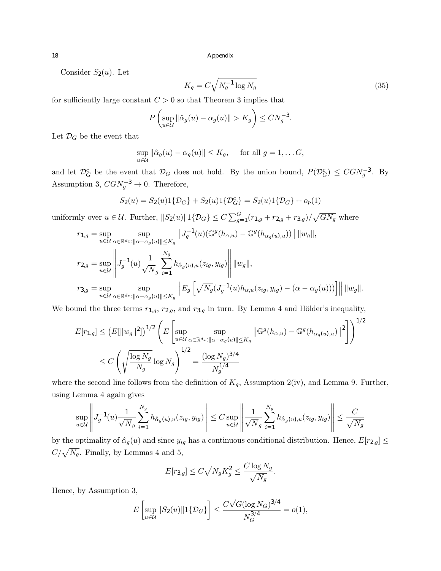Consider  $S_2(u)$ . Let

$$
K_g = C \sqrt{N_g^{-1} \log N_g} \tag{35}
$$

for sufficiently large constant  $C > 0$  so that Theorem 3 implies that

$$
P\left(\sup_{u\in\mathcal{U}}\|\hat{\alpha}_g(u)-\alpha_g(u)\|>K_g\right)\leq CN_g^{-3}.
$$

Let  $\mathcal{D}_G$  be the event that

$$
\sup_{u \in \mathcal{U}} \|\hat{\alpha}_g(u) - \alpha_g(u)\| \le K_g, \quad \text{ for all } g = 1, \dots G,
$$

and let  $\mathcal{D}_G^c$  be the event that  $\mathcal{D}_G$  does not hold. By the union bound,  $P(\mathcal{D}_G^c) \leq CGN_g^{-3}$ . By Assumption 3,  $CGN_g^{-3} \rightarrow 0$ . Therefore,

$$
S_2(u) = S_2(u)1\{\mathcal{D}_G\} + S_2(u)1\{\mathcal{D}_G^c\} = S_2(u)1\{\mathcal{D}_G\} + o_p(1)
$$

uniformly over  $u \in \mathcal{U}$ . Further,  $||S_2(u)||1\{\mathcal{D}_G\} \le C \sum_{g=1}^G (r_{1,g} + r_{2,g} + r_{3,g})/\sqrt{GN_g}$  where

$$
r_{1,g} = \sup_{u \in \mathcal{U}} \sup_{\alpha \in \mathbb{R}^{d_z}: ||\alpha - \alpha_g(u)|| \le K_g} ||J_g^{-1}(u)(\mathbb{G}^g(h_{\alpha,u}) - \mathbb{G}^g(h_{\alpha_g(u),u}))|| \, ||w_g||,
$$
  

$$
r_{2,g} = \sup_{u \in \mathcal{U}} \left||J_g^{-1}(u) \frac{1}{\sqrt{N_g}} \sum_{i=1}^{N_g} h_{\hat{\alpha}_g(u),u}(z_{ig}, y_{ig}) \right|| ||w_g||,
$$
  

$$
r_{3,g} = \sup_{u \in \mathcal{U}} \sup_{\alpha \in \mathbb{R}^{d_z}: ||\alpha - \alpha_g(u)|| \le K_g} ||E_g\left[\sqrt{N_g}(J_g^{-1}(u)h_{\alpha,u}(z_{ig}, y_{ig}) - (\alpha - \alpha_g(u)))\right] || ||w_g||.
$$

We bound the three terms  $r_{1,g}$ ,  $r_{2,g}$ , and  $r_{3,g}$  in turn. By Lemma 4 and Hölder's inequality,

$$
E[r_{1,g}] \le (E[\|w_g\|^2])^{1/2} \left( E\left[\sup_{u \in \mathcal{U}} \sup_{\alpha \in \mathbb{R}^{d_z} : ||\alpha - \alpha_g(u)|| \le K_g} \|\mathbb{G}^g(h_{\alpha,u}) - \mathbb{G}^g(h_{\alpha_g(u),u})\|^2 \right] \right)^{1/2}
$$
  

$$
\le C \left( \sqrt{\frac{\log N_g}{N_g}} \log N_g \right)^{1/2} = \frac{(\log N_g)^{3/4}}{N_g^{1/4}}
$$

where the second line follows from the definition of  $K_g$ , Assumption 2(iv), and Lemma 9. Further, using Lemma 4 again gives

$$
\sup_{u \in \mathcal{U}} \left\| J_g^{-1}(u) \frac{1}{\sqrt{N_g}} \sum_{i=1}^{N_g} h_{\hat{\alpha}_g(u),u}(z_{ig}, y_{ig}) \right\| \leq C \sup_{u \in \mathcal{U}} \left\| \frac{1}{\sqrt{N_g}} \sum_{i=1}^{N_g} h_{\hat{\alpha}_g(u),u}(z_{ig}, y_{ig}) \right\| \leq \frac{C}{\sqrt{N_g}}
$$

by the optimality of  $\hat{\alpha}_g(u)$  and since  $y_{ig}$  has a continuous conditional distribution. Hence,  $E[r_{2,g}] \leq$  $C/\sqrt{N_g}$ . Finally, by Lemmas 4 and 5,

$$
E[r_{3,g}] \leq C\sqrt{N_g}K_g^2 \leq \frac{C\log N_g}{\sqrt{N_g}}.
$$

Hence, by Assumption 3,

$$
E\left[\sup_{u \in \mathcal{U}} \|S_2(u)\| 1\{\mathcal{D}_G\}\right] \le \frac{C\sqrt{G}(\log N_G)^{3/4}}{N_G^{3/4}} = o(1),
$$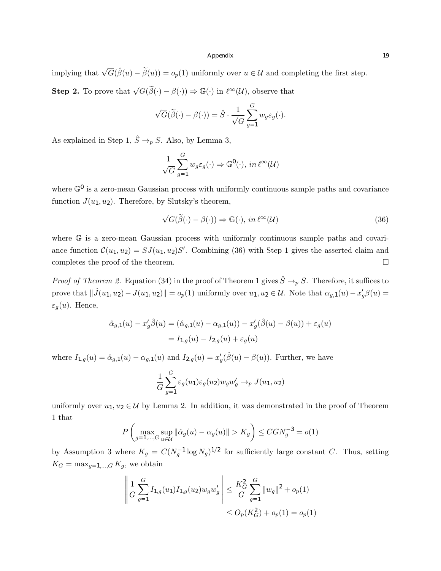implying that  $\sqrt{G}(\hat{\beta}(u) - \tilde{\beta}(u)) = o_p(1)$  uniformly over  $u \in \mathcal{U}$  and completing the first step. **Step 2.** To prove that  $\sqrt{G}(\tilde{\beta}(\cdot) - \beta(\cdot)) \Rightarrow \mathbb{G}(\cdot)$  in  $\ell^{\infty}(\mathcal{U})$ , observe that

$$
\sqrt{G}(\widetilde{\beta}(\cdot) - \beta(\cdot)) = \widehat{S} \cdot \frac{1}{\sqrt{G}} \sum_{g=1}^{G} w_g \varepsilon_g(\cdot).
$$

As explained in Step 1,  $\hat{S} \rightarrow_p S$ . Also, by Lemma 3,

$$
\frac{1}{\sqrt{G}}\sum_{g=1}^{G} w_g \varepsilon_g(\cdot) \Rightarrow \mathbb{G}^0(\cdot), \ in \ \ell^{\infty}(\mathcal{U})
$$

where  $\mathbb{G}^0$  is a zero-mean Gaussian process with uniformly continuous sample paths and covariance function  $J(u_1, u_2)$ . Therefore, by Slutsky's theorem,

$$
\sqrt{G}(\widetilde{\beta}(\cdot) - \beta(\cdot)) \Rightarrow \mathbb{G}(\cdot), in \ell^{\infty}(\mathcal{U})
$$
\n(36)

where G is a zero-mean Gaussian process with uniformly continuous sample paths and covariance function  $\mathcal{C}(u_1, u_2) = SJ(u_1, u_2)S'$ . Combining (36) with Step 1 gives the asserted claim and completes the proof of the theorem.  $\Box$ 

*Proof of Theorem 2.* Equation (34) in the proof of Theorem 1 gives  $\hat{S} \rightarrow_{p} S$ . Therefore, it suffices to prove that  $\|\hat{J}(u_1, u_2) - J(u_1, u_2)\| = o_p(1)$  uniformly over  $u_1, u_2 \in \mathcal{U}$ . Note that  $\alpha_{g,1}(u) - x_g^{\prime}\beta(u) =$  $\varepsilon_q(u)$ . Hence,

$$
\hat{\alpha}_{g,1}(u) - x_g'\hat{\beta}(u) = (\hat{\alpha}_{g,1}(u) - \alpha_{g,1}(u)) - x_g'(\hat{\beta}(u) - \beta(u)) + \varepsilon_g(u) \n= I_{1,g}(u) - I_{2,g}(u) + \varepsilon_g(u)
$$

where  $I_{1,g}(u) = \hat{\alpha}_{g,1}(u) - \alpha_{g,1}(u)$  and  $I_{2,g}(u) = x'_{g}(\hat{\beta}(u) - \beta(u))$ . Further, we have

$$
\frac{1}{G} \sum_{g=1}^{G} \varepsilon_g(u_1) \varepsilon_g(u_2) w_g w'_g \to_p J(u_1, u_2)
$$

uniformly over  $u_1, u_2 \in \mathcal{U}$  by Lemma 2. In addition, it was demonstrated in the proof of Theorem 1 that

$$
P\left(\max_{g=1,\dots,G} \sup_{u \in \mathcal{U}} \|\hat{\alpha}_g(u) - \alpha_g(u)\| > K_g\right) \le CGN_g^{-3} = o(1)
$$

by Assumption 3 where  $K_g = C(N_g^{-1} \log N_g)^{1/2}$  for sufficiently large constant *C*. Thus, setting  $K_G = \max_{g=1,\dots,G} K_g$ , we obtain

$$
\left\| \frac{1}{G} \sum_{g=1}^{G} I_{1,g}(u_1) I_{1,g}(u_2) w_g w'_g \right\| \leq \frac{K_G^2}{G} \sum_{g=1}^{G} \|w_g\|^2 + o_p(1)
$$
  

$$
\leq O_p(K_G^2) + o_p(1) = o_p(1)
$$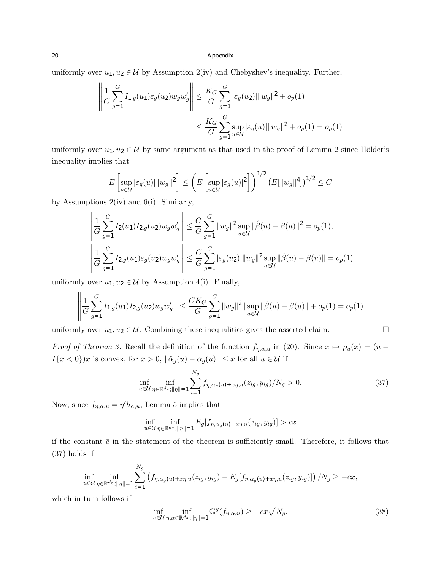uniformly over  $u_1, u_2 \in \mathcal{U}$  by Assumption 2(iv) and Chebyshev's inequality. Further,

$$
\left\| \frac{1}{G} \sum_{g=1}^{G} I_{1,g}(u_1) \varepsilon_g(u_2) w_g w'_g \right\| \leq \frac{K_G}{G} \sum_{g=1}^{G} |\varepsilon_g(u_2)| \|w_g\|^2 + o_p(1)
$$
  

$$
\leq \frac{K_G}{G} \sum_{g=1}^{G} \sup_{u \in \mathcal{U}} |\varepsilon_g(u)| \|w_g\|^2 + o_p(1) = o_p(1)
$$

uniformly over  $u_1, u_2 \in \mathcal{U}$  by same argument as that used in the proof of Lemma 2 since Hölder's inequality implies that

$$
E\left[\sup_{u\in\mathcal{U}}|\varepsilon_g(u)|\|w_g\|^2\right] \le \left(E\left[\sup_{u\in\mathcal{U}}|\varepsilon_g(u)|^2\right]\right)^{1/2} \left(E[\|w_g\|^4]\right)^{1/2} \le C
$$

by Assumptions  $2(iv)$  and  $6(i)$ . Similarly,

$$
\left\| \frac{1}{G} \sum_{g=1}^{G} I_2(u_1) I_{2,g}(u_2) w_g w_g' \right\| \leq \frac{C}{G} \sum_{g=1}^{G} \|w_g\|^2 \sup_{u \in \mathcal{U}} \|\hat{\beta}(u) - \beta(u)\|^2 = o_p(1),
$$
  

$$
\left\| \frac{1}{G} \sum_{g=1}^{G} I_{2,g}(u_1) \varepsilon_g(u_2) w_g w_g' \right\| \leq \frac{C}{G} \sum_{g=1}^{G} |\varepsilon_g(u_2)| \|w_g\|^2 \sup_{u \in \mathcal{U}} \|\hat{\beta}(u) - \beta(u)\| = o_p(1)
$$

uniformly over  $u_1, u_2 \in \mathcal{U}$  by Assumption 4(i). Finally,

$$
\left\| \frac{1}{G} \sum_{g=1}^G I_{1,g}(u_1) I_{2,g}(u_2) w_g w_g' \right\| \le \frac{C K_G}{G} \sum_{g=1}^G \|w_g\|^2 \|\sup_{u \in \mathcal{U}} \|\hat{\beta}(u) - \beta(u)\| + o_p(1) = o_p(1)
$$

uniformly over  $u_1, u_2 \in \mathcal{U}$ . Combining these inequalities gives the asserted claim.  $\Box$ 

*Proof of Theorem 3.* Recall the definition of the function  $f_{\eta,\alpha,u}$  in (20). Since  $x \mapsto \rho_u(x) = (u I\{x < 0\}$ )*x* is convex, for  $x > 0$ ,  $\|\hat{\alpha}_g(u) - \alpha_g(u)\| \le x$  for all  $u \in \mathcal{U}$  if

$$
\inf_{u \in \mathcal{U}} \inf_{\eta \in \mathbb{R}^d z : ||\eta|| = 1} \sum_{i=1}^{N_g} f_{\eta, \alpha_g(u) + x\eta, u}(z_{ig}, y_{ig}) / N_g > 0.
$$
\n(37)

Now, since  $f_{\eta,\alpha,u} = \eta' h_{\alpha,u}$ , Lemma 5 implies that

$$
\inf_{u \in \mathcal{U}} \inf_{\eta \in \mathbb{R}^{d_z} : ||\eta|| = 1} E_g[f_{\eta, \alpha_g(u) + x\eta, u}(z_{ig}, y_{ig})] > cx
$$

if the constant  $\bar{c}$  in the statement of the theorem is sufficiently small. Therefore, it follows that (37) holds if

$$
\inf_{u \in \mathcal{U}} \inf_{\eta \in \mathbb{R}^d \leq ||\eta|| = 1} \sum_{i=1}^{N_g} \left( f_{\eta, \alpha_g(u) + x \eta, u}(z_{ig}, y_{ig}) - E_g[f_{\eta, \alpha_g(u) + x \eta, u}(z_{ig}, y_{ig})] \right) / N_g \geq -cx,
$$

which in turn follows if

$$
\inf_{u \in \mathcal{U}} \inf_{\eta, \alpha \in \mathbb{R}^{d_z} : ||\eta|| = 1} \mathbb{G}^g(f_{\eta, \alpha, u}) \geq -cx\sqrt{N_g}.
$$
\n(38)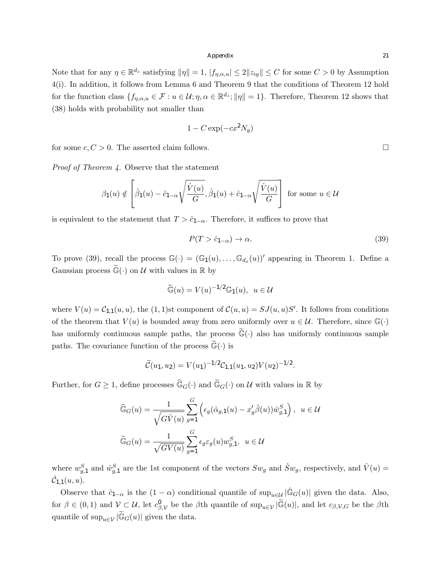Note that for any  $\eta \in \mathbb{R}^{d_z}$  satisfying  $\|\eta\| = 1$ ,  $|f_{\eta,\alpha,u}| \leq 2||z_{ig}|| \leq C$  for some  $C > 0$  by Assumption 4(i). In addition, it follows from Lemma 6 and Theorem 9 that the conditions of Theorem 12 hold for the function class  $\{f_{\eta,\alpha,u} \in \mathcal{F} : u \in \mathcal{U}; \eta, \alpha \in \mathbb{R}^{d_z}; ||\eta|| = 1\}$ . Therefore, Theorem 12 shows that (38) holds with probability not smaller than

$$
1 - C \exp(-cx^2 N_g)
$$

for some  $c, C > 0$ . The asserted claim follows.

*Proof of Theorem 4.* Observe that the statement

$$
\beta_1(u) \notin \left[\hat{\beta}_1(u) - \hat{c}_{1-\alpha}\sqrt{\frac{\hat{V}(u)}{G}}, \hat{\beta}_1(u) + \hat{c}_{1-\alpha}\sqrt{\frac{\hat{V}(u)}{G}}\right]
$$
 for some  $u \in \mathcal{U}$ 

is equivalent to the statement that  $T > \hat{c}_{1-\alpha}$ . Therefore, it suffices to prove that

$$
P(T > \hat{c}_{1-\alpha}) \to \alpha. \tag{39}
$$

To prove (39), recall the process  $\mathbb{G}(\cdot)=(\mathbb{G}_1(u),\ldots,\mathbb{G}_{d_x}(u))'$  appearing in Theorem 1. Define a Gaussian process  $\mathbb{G}(\cdot)$  on  $\mathcal{U}$  with values in  $\mathbb{R}$  by

$$
\widetilde{\mathbb{G}}(u) = V(u)^{-1/2} \mathbb{G}_1(u), \ u \in \mathcal{U}
$$

where  $V(u) = C_{1,1}(u, u)$ , the  $(1, 1)$ st component of  $C(u, u) = SJ(u, u)S'$ . It follows from conditions of the theorem that  $V(u)$  is bounded away from zero uniformly over  $u \in \mathcal{U}$ . Therefore, since  $\mathbb{G}(\cdot)$ has uniformly continuous sample paths, the process  $\mathbb{G}(\cdot)$  also has uniformly continuous sample paths. The covariance function of the process  $\mathbb{G}(\cdot)$  is

$$
\widetilde{C}(u_1, u_2) = V(u_1)^{-1/2} C_{1,1}(u_1, u_2) V(u_2)^{-1/2}.
$$

Further, for  $G \geq 1$ , define processes  $\widehat{\mathbb{G}}_G(\cdot)$  and  $\widetilde{\mathbb{G}}_G(\cdot)$  on *U* with values in R by

$$
\widehat{\mathbb{G}}_G(u) = \frac{1}{\sqrt{G\widehat{V}(u)}} \sum_{g=1}^G \left( \epsilon_g(\widehat{\alpha}_{g,1}(u) - x_g'\widehat{\beta}(u)) \widehat{w}_{g,1}^S \right), \ u \in \mathcal{U}
$$

$$
\widetilde{\mathbb{G}}_G(u) = \frac{1}{\sqrt{G V(u)}} \sum_{g=1}^G \epsilon_g \epsilon_g(u) w_{g,1}^S, \ u \in \mathcal{U}
$$

where  $w_{g,1}^S$  and  $\hat{w}_{g,1}^S$  are the 1st component of the vectors  $Sw_g$  and  $\hat{S}w_g$ , respectively, and  $\hat{V}(u)$  =  $\hat{\mathcal{C}}_{1,1}(u, u)$ .

Observe that  $\hat{c}_{1-\alpha}$  is the  $(1-\alpha)$  conditional quantile of sup<sub>u∈*U*</sub>  $|\hat{\mathbb{G}}_G(u)|$  given the data. Also, for  $\beta \in (0,1)$  and  $\mathcal{V} \subset \mathcal{U}$ , let  $c_{\beta,\mathcal{V}}^0$  be the  $\beta$ th quantile of sup<sub>u∈V</sub> | $\mathbb{G}(u)$ |, and let  $c_{\beta,\mathcal{V},G}$  be the  $\beta$ th quantile of  $\sup_{u \in \mathcal{V}} |\widetilde{\mathbb{G}}_G(u)|$  given the data.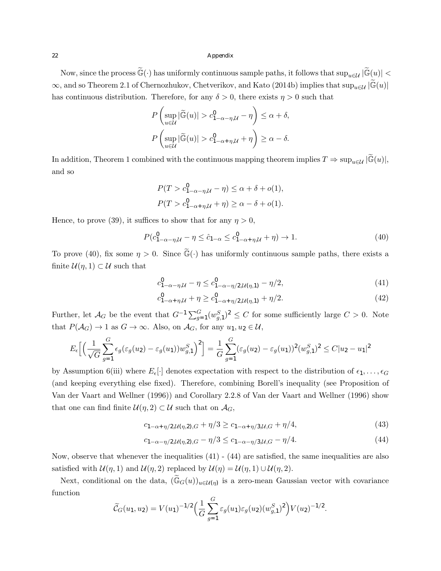Now, since the process  $\widetilde{\mathbb{G}}(\cdot)$  has uniformly continuous sample paths, it follows that  $\sup_{u\in\mathcal{U}}|\widetilde{\mathbb{G}}(u)| <$  $\infty$ , and so Theorem 2.1 of Chernozhukov, Chetverikov, and Kato (2014b) implies that  $\sup_{u \in \mathcal{U}} |\mathbb{G}(u)|$ has continuous distribution. Therefore, for any  $\delta > 0$ , there exists  $\eta > 0$  such that

$$
P\left(\sup_{u\in\mathcal{U}}|\widetilde{\mathbb{G}}(u)|>c_{1-\alpha-\eta,\mathcal{U}}^0-\eta\right)\leq\alpha+\delta,
$$
  

$$
P\left(\sup_{u\in\mathcal{U}}|\widetilde{\mathbb{G}}(u)|>c_{1-\alpha+\eta,\mathcal{U}}^0+\eta\right)\geq\alpha-\delta.
$$

In addition, Theorem 1 combined with the continuous mapping theorem implies  $T \Rightarrow \sup_{u \in \mathcal{U}} |\widetilde{\mathbb{G}}(u)|$ , and so

$$
P(T > c_{1-\alpha-\eta,\mathcal{U}}^0 - \eta) \leq \alpha + \delta + o(1),
$$
  

$$
P(T > c_{1-\alpha+\eta,\mathcal{U}}^0 + \eta) \geq \alpha - \delta + o(1).
$$

Hence, to prove (39), it suffices to show that for any  $\eta > 0$ ,

$$
P(c_{1-\alpha-\eta,\mathcal{U}}^0 - \eta \le \hat{c}_{1-\alpha} \le c_{1-\alpha+\eta,\mathcal{U}}^0 + \eta) \to 1.
$$
 (40)

To prove (40), fix some  $\eta > 0$ . Since  $\tilde{\mathbb{G}}(\cdot)$  has uniformly continuous sample paths, there exists a finite  $\mathcal{U}(\eta, 1) \subset \mathcal{U}$  such that

$$
c_{1-\alpha-\eta,\mathcal{U}}^0 - \eta \le c_{1-\alpha-\eta/2,\mathcal{U}(\eta,1)}^0 - \eta/2,\tag{41}
$$

$$
c_{1-\alpha+\eta,\mathcal{U}}^0 + \eta \ge c_{1-\alpha+\eta/2,\mathcal{U}(\eta,1)}^0 + \eta/2. \tag{42}
$$

Further, let  $\mathcal{A}_G$  be the event that  $G^{-1} \sum_{g=1}^G (w_{g,1}^S)^2 \leq C$  for some sufficiently large  $C > 0$ . Note that  $P(\mathcal{A}_G) \to 1$  as  $G \to \infty$ . Also, on  $\mathcal{A}_G$ , for any  $u_1, u_2 \in \mathcal{U}$ ,

$$
E_{\epsilon}\Big[\Big(\frac{1}{\sqrt{G}}\sum_{g=1}^{G}\epsilon_g(\varepsilon_g(u_2)-\varepsilon_g(u_1))w_{g,1}^S\Big)^2\Big] = \frac{1}{G}\sum_{g=1}^{G}(\varepsilon_g(u_2)-\varepsilon_g(u_1))^2(w_{g,1}^S)^2 \leq C|u_2-u_1|^2
$$

by Assumption 6(iii) where  $E_{\epsilon}[\cdot]$  denotes expectation with respect to the distribution of  $\epsilon_1, \ldots, \epsilon_G$ (and keeping everything else fixed). Therefore, combining Borell's inequality (see Proposition of Van der Vaart and Wellner (1996)) and Corollary 2.2.8 of Van der Vaart and Wellner (1996) show that one can find finite  $\mathcal{U}(\eta, 2) \subset \mathcal{U}$  such that on  $\mathcal{A}_G$ ,

$$
c_{1-\alpha+\eta/2,\mathcal{U}(\eta,2),G} + \eta/3 \ge c_{1-\alpha+\eta/3,\mathcal{U},G} + \eta/4,\tag{43}
$$

$$
c_{1-\alpha-\eta/2,\mathcal{U}(\eta,2),G} - \eta/3 \le c_{1-\alpha-\eta/3,\mathcal{U},G} - \eta/4. \tag{44}
$$

Now, observe that whenever the inequalities (41) - (44) are satisfied, the same inequalities are also satisfied with  $\mathcal{U}(\eta, 1)$  and  $\mathcal{U}(\eta, 2)$  replaced by  $\mathcal{U}(\eta) = \mathcal{U}(\eta, 1) \cup \mathcal{U}(\eta, 2)$ .

Next, conditional on the data,  $(\widetilde{\mathbb{G}}_G(u))_{u \in \mathcal{U}(\eta)}$  is a zero-mean Gaussian vector with covariance function

$$
\widetilde{C}_G(u_1, u_2) = V(u_1)^{-1/2} \Big(\frac{1}{G} \sum_{g=1}^G \varepsilon_g(u_1) \varepsilon_g(u_2) (w_{g,1}^S)^2\Big) V(u_2)^{-1/2}.
$$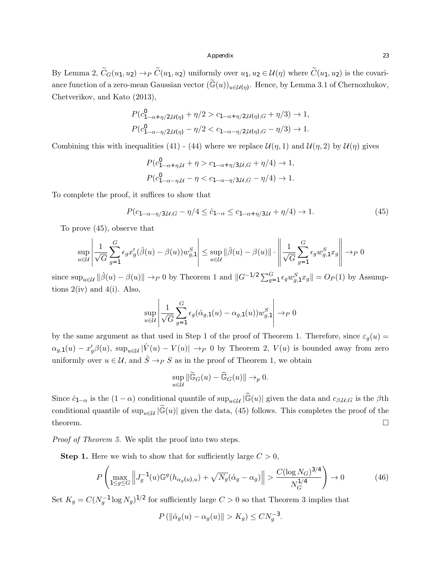By Lemma 2,  $\widetilde{C}_G(u_1, u_2) \to_P \widetilde{C}(u_1, u_2)$  uniformly over  $u_1, u_2 \in \mathcal{U}(\eta)$  where  $\widetilde{C}(u_1, u_2)$  is the covariance function of a zero-mean Gaussian vector  $(\widetilde{\mathbb{G}}(u))_{u \in \mathcal{U}(\eta)}$ . Hence, by Lemma 3.1 of Chernozhukov, Chetverikov, and Kato (2013),

$$
P(c_{1-\alpha+\eta/2,\mathcal{U}(\eta)}^0 + \eta/2 > c_{1-\alpha+\eta/2,\mathcal{U}(\eta),G} + \eta/3) \to 1,
$$
  

$$
P(c_{1-\alpha-\eta/2,\mathcal{U}(\eta)}^0 - \eta/2 < c_{1-\alpha-\eta/2,\mathcal{U}(\eta),G} - \eta/3) \to 1.
$$

Combining this with inequalities (41) - (44) where we replace  $\mathcal{U}(\eta, 1)$  and  $\mathcal{U}(\eta, 2)$  by  $\mathcal{U}(\eta)$  gives

$$
P(c_{1-\alpha+\eta,\mathcal{U}}^0 + \eta > c_{1-\alpha+\eta/3,\mathcal{U},G} + \eta/4) \to 1,
$$
  

$$
P(c_{1-\alpha-\eta,\mathcal{U}}^0 - \eta < c_{1-\alpha-\eta/3,\mathcal{U},G} - \eta/4) \to 1.
$$

To complete the proof, it suffices to show that

$$
P(c_{1-\alpha-\eta/3,\mathcal{U},G} - \eta/4 \le \hat{c}_{1-\alpha} \le c_{1-\alpha+\eta/3,\mathcal{U}} + \eta/4) \to 1.
$$
 (45)

To prove (45), observe that

$$
\sup_{u \in \mathcal{U}} \left| \frac{1}{\sqrt{G}} \sum_{g=1}^G \epsilon_g x_g'(\hat{\beta}(u) - \beta(u)) w_{g,1}^S \right| \le \sup_{u \in \mathcal{U}} \|\hat{\beta}(u) - \beta(u)\| \cdot \left\| \frac{1}{\sqrt{G}} \sum_{g=1}^G \epsilon_g w_{g,1}^S x_g \right\| \to_P 0
$$

since  $\sup_{u \in \mathcal{U}} ||\hat{\beta}(u) - \beta(u)|| \rightarrow_P 0$  by Theorem 1 and  $||G^{-1/2} \sum_{g=1}^G \epsilon_g w_{g,1}^S x_g|| = O_P(1)$  by Assumptions  $2(iv)$  and  $4(i)$ . Also,

$$
\sup_{u \in \mathcal{U}} \left| \frac{1}{\sqrt{G}} \sum_{g=1}^{G} \epsilon_g(\hat{\alpha}_{g,1}(u) - \alpha_{g,1}(u)) w_{g,1}^S \right| \to_P 0
$$

by the same argument as that used in Step 1 of the proof of Theorem 1. Therefore, since  $\varepsilon_g(u)$  =  $\alpha_{g,1}(u) - x_g^{\prime} \beta(u)$ ,  $\sup_{u \in \mathcal{U}} |\hat{V}(u) - V(u)| \rightarrow_P 0$  by Theorem 2,  $V(u)$  is bounded away from zero uniformly over  $u \in \mathcal{U}$ , and  $\hat{S} \rightarrow_P S$  as in the proof of Theorem 1, we obtain

$$
\sup_{u \in \mathcal{U}} \|\widetilde{\mathbb{G}}_G(u) - \widehat{\mathbb{G}}_G(u)\| \to_p 0.
$$

Since  $\hat{c}_{1-\alpha}$  is the  $(1-\alpha)$  conditional quantile of sup<sub>u
iii</sub>  $|\hat{\mathbb{G}}(u)|$  given the data and  $c_{\beta,\mu,G}$  is the  $\beta$ th conditional quantile of  $\sup_{u \in \mathcal{U}} |\widetilde{\mathbb{G}}(u)|$  given the data, (45) follows. This completes the proof of the theorem.  $\Box$ 

*Proof of Theorem 5.* We split the proof into two steps.

**Step 1.** Here we wish to show that for sufficiently large  $C > 0$ ,

$$
P\left(\max_{1 \le g \le G} \left\| J_g^{-1}(u) \mathbb{G}^g(h_{\alpha_g(u),u}) + \sqrt{N_g}(\hat{\alpha}_g - \alpha_g) \right\| > \frac{C(\log N_G)^{3/4}}{N_G^{1/4}} \right) \to 0 \tag{46}
$$

Set  $K_g = C(N_g^{-1} \log N_g)^{1/2}$  for sufficiently large  $C > 0$  so that Theorem 3 implies that

 $P(\|\hat{\alpha}_g(u) - \alpha_g(u)\| > K_g) \leq C N_g^{-3}.$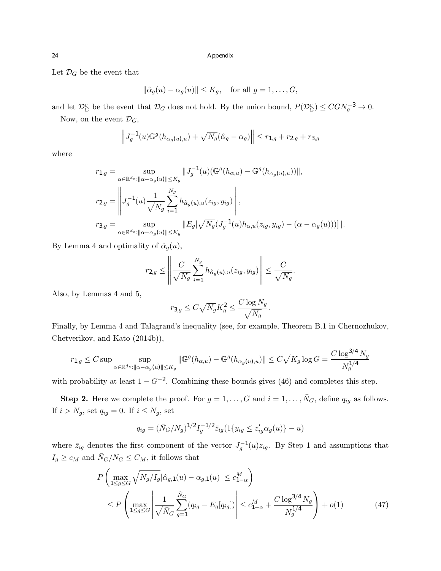Let  $\mathcal{D}_G$  be the event that

$$
\|\hat{\alpha}_g(u) - \alpha_g(u)\| \le K_g, \quad \text{for all } g = 1, \dots, G,
$$

and let  $\mathcal{D}_G^c$  be the event that  $\mathcal{D}_G$  does not hold. By the union bound,  $P(\mathcal{D}_G^c) \leq CGN_g^{-3} \to 0$ . Now, on the event  $\mathcal{D}_G$ ,

 $\ddot{\phantom{a}}$ 

$$
\left\|J_g^{-1}(u)\mathbb{G}^g(h_{\alpha_g(u),u}) + \sqrt{N_g}(\hat{\alpha}_g - \alpha_g)\right\| \le r_{1,g} + r_{2,g} + r_{3,g}
$$

where

$$
r_{1,g} = \sup_{\alpha \in \mathbb{R}^{d_z} : ||\alpha - \alpha_g(u)|| \le K_g} ||J_g^{-1}(u)(\mathbb{G}^g(h_{\alpha,u}) - \mathbb{G}^g(h_{\alpha_g(u),u}))||,
$$
  

$$
r_{2,g} = \left||J_g^{-1}(u) \frac{1}{\sqrt{N_g}} \sum_{i=1}^{N_g} h_{\hat{\alpha}_g(u),u}(z_{ig}, y_{ig}) \right||,
$$
  

$$
r_{3,g} = \sup_{\alpha \in \mathbb{R}^{d_z} : ||\alpha - \alpha_g(u)|| \le K_g} ||E_g[\sqrt{N_g}(J_g^{-1}(u)h_{\alpha,u}(z_{ig}, y_{ig}) - (\alpha - \alpha_g(u)))]||.
$$

By Lemma 4 and optimality of  $\hat{\alpha}_q(u)$ ,

$$
r_{2,g} \leq \left\| \frac{C}{\sqrt{N_g}} \sum_{i=1}^{N_g} h_{\hat{\alpha}_g(u),u}(z_{ig}, y_{ig}) \right\| \leq \frac{C}{\sqrt{N_g}}.
$$

Also, by Lemmas 4 and 5,

$$
r_{3,g} \le C\sqrt{N_g}K_g^2 \le \frac{C\log N_g}{\sqrt{N_g}}.
$$

Finally, by Lemma 4 and Talagrand's inequality (see, for example, Theorem B.1 in Chernozhukov, Chetverikov, and Kato (2014b)),

$$
r_{1,g} \leq C \sup \sup_{\alpha \in \mathbb{R}^{d_z} : ||\alpha - \alpha_g(u)|| \leq K_g} \|\mathbb{G}^g(h_{\alpha,u}) - \mathbb{G}^g(h_{\alpha_g(u),u})\| \leq C\sqrt{K_g \log G} = \frac{C \log^{3/4} N_g}{N_g^{1/4}}
$$

with probability at least  $1 - G^{-2}$ . Combining these bounds gives (46) and completes this step.

**Step 2.** Here we complete the proof. For  $g = 1, \ldots, G$  and  $i = 1, \ldots, \bar{N}_G$ , define  $q_{ig}$  as follows. If  $i > N_g$ , set  $q_{ig} = 0$ . If  $i \leq N_g$ , set

$$
q_{ig} = (\bar{N}_G/N_g)^{1/2} I_g^{-1/2} \bar{z}_{ig} (1\{y_{ig} \le z'_{ig}\alpha_g(u)\} - u)
$$

where  $\bar{z}_{ig}$  denotes the first component of the vector  $J_g^{-1}(u)z_{ig}$ . By Step 1 and assumptions that  $I_g \ge c_M$  and  $\bar{N}_G/N_G \le C_M$ , it follows that

$$
P\left(\max_{1\leq g\leq G} \sqrt{N_g/I_g} |\hat{\alpha}_{g,1}(u) - \alpha_{g,1}(u)| \leq c_{1-\alpha}^M\right) \n\leq P\left(\max_{1\leq g\leq G} \left|\frac{1}{\sqrt{\bar{N}_G}} \sum_{g=1}^{\bar{N}_G} (q_{ig} - E_g[q_{ig}])\right| \leq c_{1-\alpha}^M + \frac{C \log^{3/4} N_g}{N_g^{1/4}}\right) + o(1)
$$
\n(47)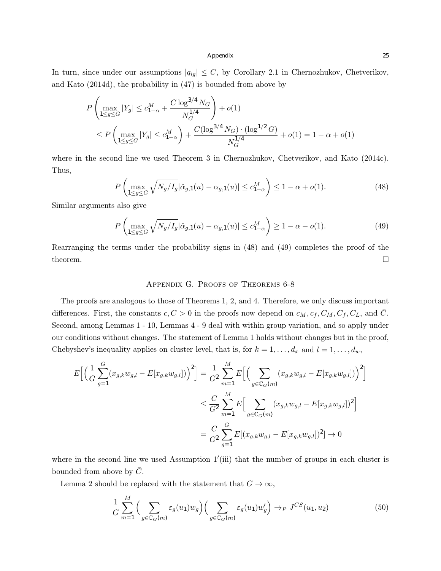In turn, since under our assumptions  $|q_{ig}| \leq C$ , by Corollary 2.1 in Chernozhukov, Chetverikov, and Kato (2014d), the probability in (47) is bounded from above by

$$
P\left(\max_{1\leq g\leq G}|Y_g| \leq c_{1-\alpha}^M + \frac{C\log^{3/4}N_G}{N_G^{1/4}}\right) + o(1)
$$
  
\$\leq P\left(\max\_{1\leq g\leq G}|Y\_g| \leq c\_{1-\alpha}^M\right) + \frac{C(\log^{3/4}N\_G) \cdot (\log^{1/2}G)}{N\_G^{1/4}} + o(1) = 1 - \alpha + o(1)\$

where in the second line we used Theorem 3 in Chernozhukov, Chetverikov, and Kato (2014c). Thus,

$$
P\left(\max_{1\le g\le G}\sqrt{N_g/I_g}|\hat{\alpha}_{g,1}(u)-\alpha_{g,1}(u)|\le c_{1-\alpha}^M\right)\le 1-\alpha+o(1). \tag{48}
$$

Similar arguments also give

$$
P\left(\max_{1 \le g \le G} \sqrt{N_g/I_g} |\hat{\alpha}_{g,1}(u) - \alpha_{g,1}(u)| \le c_{1-\alpha}^M \right) \ge 1 - \alpha - o(1). \tag{49}
$$

Rearranging the terms under the probability signs in (48) and (49) completes the proof of the theorem.  $\Box$ 

### Appendix G. Proofs of Theorems 6-8

The proofs are analogous to those of Theorems 1, 2, and 4. Therefore, we only discuss important differences. First, the constants  $c, C > 0$  in the proofs now depend on  $c_M, c_f, C_M, C_f, C_L$ , and  $\overline{C}$ . Second, among Lemmas 1 - 10, Lemmas 4 - 9 deal with within group variation, and so apply under our conditions without changes. The statement of Lemma 1 holds without changes but in the proof, Chebyshev's inequality applies on cluster level, that is, for  $k = 1, \ldots, d_x$  and  $l = 1, \ldots, d_w$ ,

$$
E\Big[\Big(\frac{1}{G}\sum_{g=1}^{G}(x_{g,k}w_{g,l}-E[x_{g,k}w_{g,l}])\Big)^{2}\Big] = \frac{1}{G^{2}}\sum_{m=1}^{M}E\Big[\Big(\sum_{g\in\mathbb{C}_{G}(m)}(x_{g,k}w_{g,l}-E[x_{g,k}w_{g,l}])\Big)^{2}\Big] \n\leq \frac{C}{G^{2}}\sum_{m=1}^{M}E\Big[\sum_{g\in\mathbb{C}_{G}(m)}(x_{g,k}w_{g,l}-E[x_{g,k}w_{g,l}])^{2}\Big] \n= \frac{C}{G^{2}}\sum_{g=1}^{G}E[(x_{g,k}w_{g,l}-E[x_{g,k}w_{g,l}])^{2}] \to 0
$$

where in the second line we used Assumption  $1'$ (iii) that the number of groups in each cluster is bounded from above by  $C$ .

Lemma 2 should be replaced with the statement that  $G \to \infty$ ,

$$
\frac{1}{G} \sum_{m=1}^{M} \Big( \sum_{g \in \mathbb{C}_G(m)} \varepsilon_g(u_1) w_g \Big) \Big( \sum_{g \in \mathbb{C}_G(m)} \varepsilon_g(u_1) w'_g \Big) \to_P J^{CS}(u_1, u_2) \tag{50}
$$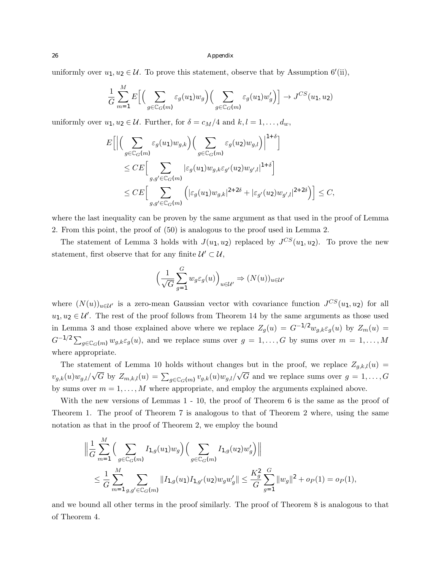uniformly over  $u_1, u_2 \in \mathcal{U}$ . To prove this statement, observe that by Assumption 6'(ii),

$$
\frac{1}{G} \sum_{m=1}^{M} E\Big[\Big(\sum_{g \in \mathbb{C}_G(m)} \varepsilon_g(u_1) w_g\Big) \Big(\sum_{g \in \mathbb{C}_G(m)} \varepsilon_g(u_1) w'_g\Big)\Big] \to J^{CS}(u_1, u_2)
$$

uniformly over  $u_1, u_2 \in \mathcal{U}$ . Further, for  $\delta = c_M/4$  and  $k, l = 1, \ldots, d_w$ ,

$$
E\left[\Big|\Big(\sum_{g\in\mathbb{C}_G(m)}\varepsilon_g(u_1)w_{g,k}\Big)\Big(\sum_{g\in\mathbb{C}_G(m)}\varepsilon_g(u_2)w_{g,l}\Big)\Big|^{1+\delta}\right]
$$
  
\n
$$
\leq CE\Big[\sum_{g,g'\in\mathbb{C}_G(m)}|\varepsilon_g(u_1)w_{g,k}\varepsilon_{g'}(u_2)w_{g',l}|^{1+\delta}\Big]
$$
  
\n
$$
\leq CE\Big[\sum_{g,g'\in\mathbb{C}_G(m)}\Big(|\varepsilon_g(u_1)w_{g,k}|^{2+2\delta}+|\varepsilon_{g'}(u_2)w_{g',l}|^{2+2\delta}\Big)\Big]\leq C,
$$

where the last inequality can be proven by the same argument as that used in the proof of Lemma 2. From this point, the proof of (50) is analogous to the proof used in Lemma 2.

The statement of Lemma 3 holds with  $J(u_1, u_2)$  replaced by  $J^{CS}(u_1, u_2)$ . To prove the new statement, first observe that for any finite  $\mathcal{U}' \subset \mathcal{U}$ ,

$$
\Big(\frac{1}{\sqrt{G}}\sum_{g=1}^{G}w_g\varepsilon_g(u)\Big)_{u\in\mathcal{U}'}\Rightarrow (N(u))_{u\in\mathcal{U}'}
$$

where  $(N(u))_{u \in \mathcal{U}}$  is a zero-mean Gaussian vector with covariance function  $J^{CS}(u_1, u_2)$  for all  $u_1, u_2 \in \mathcal{U}'$ . The rest of the proof follows from Theorem 14 by the same arguments as those used in Lemma 3 and those explained above where we replace  $Z_g(u) = G^{-1/2}w_{g,k}\varepsilon_g(u)$  by  $Z_m(u) =$  $G^{-1/2} \sum_{g \in \mathbb{C}_G(m)} w_{g,k} \varepsilon_g(u)$ , and we replace sums over  $g = 1, \ldots, G$  by sums over  $m = 1, \ldots, M$ where appropriate.

The statement of Lemma 10 holds without changes but in the proof, we replace  $Z_{q,k,l}(u)$  $v_{g,k}(u)w_{g,l}/\sqrt{G}$  by  $Z_{m,k,l}(u) = \sum_{g \in \mathbb{C}_G(m)} v_{g,k}(u)w_{g,l}/\sqrt{G}$  and we replace sums over  $g = 1, ..., G$ by sums over  $m = 1, \ldots, M$  where appropriate, and employ the arguments explained above.

With the new versions of Lemmas 1 - 10, the proof of Theorem 6 is the same as the proof of Theorem 1. The proof of Theorem 7 is analogous to that of Theorem 2 where, using the same notation as that in the proof of Theorem 2, we employ the bound

$$
\left\| \frac{1}{G} \sum_{m=1}^{M} \Big( \sum_{g \in \mathbb{C}_G(m)} I_{1,g}(u_1) w_g \Big) \Big( \sum_{g \in \mathbb{C}_G(m)} I_{1,g}(u_2) w'_g \Big) \right\|
$$
  

$$
\leq \frac{1}{G} \sum_{m=1}^{M} \sum_{g,g' \in \mathbb{C}_G(m)} ||I_{1,g}(u_1) I_{1,g'}(u_2) w_g w'_g|| \leq \frac{K_g^2}{G} \sum_{g=1}^{G} ||w_g||^2 + o_P(1) = o_P(1),
$$

and we bound all other terms in the proof similarly. The proof of Theorem 8 is analogous to that of Theorem 4.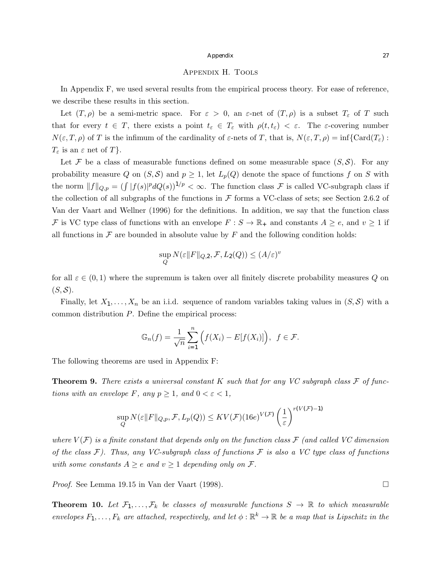#### Appendix H. Tools

In Appendix F, we used several results from the empirical process theory. For ease of reference, we describe these results in this section.

Let  $(T, \rho)$  be a semi-metric space. For  $\varepsilon > 0$ , an  $\varepsilon$ -net of  $(T, \rho)$  is a subset  $T_{\varepsilon}$  of  $T$  such that for every  $t \in T$ , there exists a point  $t_{\varepsilon} \in T_{\varepsilon}$  with  $\rho(t, t_{\varepsilon}) < \varepsilon$ . The  $\varepsilon$ -covering number  $N(\varepsilon, T, \rho)$  of *T* is the infimum of the cardinality of  $\varepsilon$ -nets of *T*, that is,  $N(\varepsilon, T, \rho) = \inf \{ \text{Card}(T_{\varepsilon}) :$  $T_{\varepsilon}$  is an  $\varepsilon$  net of  $T$ *}*.

Let  $\mathcal F$  be a class of measurable functions defined on some measurable space  $(S, \mathcal S)$ . For any probability measure Q on  $(S, S)$  and  $p \geq 1$ , let  $L_p(Q)$  denote the space of functions f on S with the norm  $||f||_{Q,p} = (\int |f(s)|^p dQ(s))^{1/p} < \infty$ . The function class *F* is called VC-subgraph class if the collection of all subgraphs of the functions in  $\mathcal F$  forms a VC-class of sets; see Section 2.6.2 of Van der Vaart and Wellner (1996) for the definitions. In addition, we say that the function class *F* is VC type class of functions with an envelope  $F : S \to \mathbb{R}_+$  and constants  $A \ge e$ , and  $v \ge 1$  if all functions in  $\mathcal F$  are bounded in absolute value by  $F$  and the following condition holds:

$$
\sup_{Q} N(\varepsilon ||F||_{Q,2}, \mathcal{F}, L_2(Q)) \leq (A/\varepsilon)^v
$$

for all  $\varepsilon \in (0,1)$  where the supremum is taken over all finitely discrete probability measures Q on  $(S, \mathcal{S}).$ 

Finally, let  $X_1, \ldots, X_n$  be an i.i.d. sequence of random variables taking values in  $(S, \mathcal{S})$  with a common distribution *P*. Define the empirical process:

$$
\mathbb{G}_n(f) = \frac{1}{\sqrt{n}} \sum_{i=1}^n \Big( f(X_i) - E[f(X_i)] \Big), \ f \in \mathcal{F}.
$$

The following theorems are used in Appendix F:

Theorem 9. *There exists a universal constant K such that for any VC subgraph class F of functions with an envelope*  $F$ *, any*  $p \geq 1$ *, and*  $0 < \varepsilon < 1$ *,* 

$$
\sup_{Q} N(\varepsilon \|F\|_{Q,p}, \mathcal{F}, L_p(Q)) \leq KV(\mathcal{F})(16e)^{V(\mathcal{F})} \left(\frac{1}{\varepsilon}\right)^{r(V(\mathcal{F})-1)}
$$

where  $V(F)$  is a finite constant that depends only on the function class  $F$  (and called VC dimension *of the class F). Thus, any VC-subgraph class of functions F is also a VC type class of functions with some constants*  $A \geq e$  *and*  $v \geq 1$  *depending only on*  $\mathcal{F}$ *.* 

*Proof.* See Lemma 19.15 in Van der Vaart (1998).  $\square$ 

**Theorem 10.** Let  $\mathcal{F}_1,\ldots,\mathcal{F}_k$  be classes of measurable functions  $S \to \mathbb{R}$  to which measurable *envelopes*  $F_1, \ldots, F_k$  *are attached, respectively, and let*  $\phi : \mathbb{R}^k \to \mathbb{R}$  *be a map that is Lipschitz in the*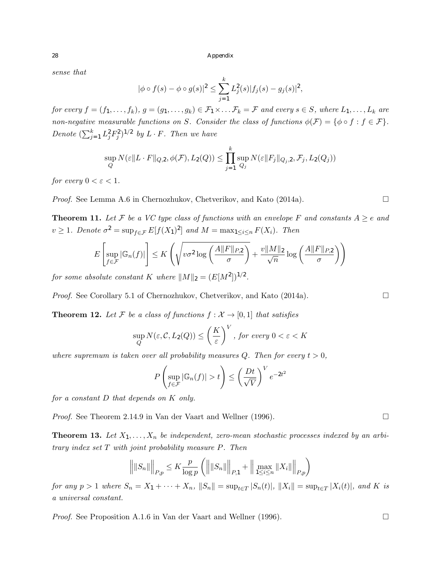*sense that*

$$
|\phi \circ f(s) - \phi \circ g(s)|^2 \le \sum_{j=1}^k L_j^2(s)|f_j(s) - g_j(s)|^2,
$$

for every  $f = (f_1, \ldots, f_k)$ ,  $g = (g_1, \ldots, g_k) \in \mathcal{F}_1 \times \ldots \mathcal{F}_k = \mathcal{F}$  and every  $s \in S$ , where  $L_1, \ldots, L_k$  are *non-negative measurable functions on S.* Consider the class of functions  $\phi(\mathcal{F}) = \{\phi \circ f : f \in \mathcal{F}\}.$ *Denote*  $(\sum_{j=1}^k L_j^2 F_j^2)^{1/2}$  *by*  $L \cdot F$ *. Then we have* 

$$
\sup_{Q} N(\varepsilon \|L \cdot F\|_{Q,2}, \phi(\mathcal{F}), L_2(Q)) \le \prod_{j=1}^k \sup_{Q_j} N(\varepsilon \|F_j\|_{Q_j,2}, \mathcal{F}_j, L_2(Q_j))
$$

*for every*  $0 < \varepsilon < 1$ *.* 

*Proof.* See Lemma A.6 in Chernozhukov, Chetverikov, and Kato  $(2014a)$ .

**Theorem 11.** Let F be a VC type class of functions with an envelope F and constants  $A \ge e$  and  $v \geq 1$ *. Denote*  $\sigma^2 = \sup_{f \in \mathcal{F}} E[f(X_1)^2]$  *and*  $M = \max_{1 \leq i \leq n} F(X_i)$ *. Then* 

$$
E\left[\sup_{f\in\mathcal{F}}|\mathbb{G}_n(f)|\right] \le K\left(\sqrt{v\sigma^2\log\left(\frac{A\|F\|_{P,2}}{\sigma}\right)} + \frac{v\|M\|_2}{\sqrt{n}}\log\left(\frac{A\|F\|_{P,2}}{\sigma}\right)\right)
$$

*for some absolute constant K where*  $||M||_2 = (E[M^2])^{1/2}$ *.* 

*Proof.* See Corollary 5.1 of Chernozhukov, Chetverikov, and Kato  $(2014a)$ .

**Theorem 12.** Let F be a class of functions  $f: \mathcal{X} \to [0,1]$  that satisfies

$$
\sup_{Q} N(\varepsilon, \mathcal{C}, L_2(Q)) \le \left(\frac{K}{\varepsilon}\right)^V, \text{ for every } 0 < \varepsilon < K
$$

*where supremum is taken over all probability measures*  $Q$ *. Then for every*  $t > 0$ ,

$$
P\left(\sup_{f\in\mathcal{F}}|\mathbb{G}_n(f)|>t\right)\leq \left(\frac{Dt}{\sqrt{V}}\right)^V e^{-2t^2}
$$

*for a constant D that depends on K only.*

*Proof.* See Theorem 2.14.9 in Van der Vaart and Wellner (1996).  $\Box$ 

**Theorem 13.** Let  $X_1, \ldots, X_n$  be independent, zero-mean stochastic processes indexed by an arbi*trary index set T with joint probability measure P. Then*

$$
\left\| \|S_n\| \right\|_{P,p} \le K \frac{p}{\log p} \left( \left\| \|S_n\| \right\|_{P,1} + \left\| \max_{1 \le i \le n} \|X_i\| \right\|_{P,p} \right)
$$

for any  $p > 1$  where  $S_n = X_1 + \cdots + X_n$ ,  $||S_n|| = \sup_{t \in T} |S_n(t)|$ ,  $||X_i|| = \sup_{t \in T} |X_i(t)|$ , and K is *a universal constant.*

*Proof.* See Proposition A.1.6 in Van der Vaart and Wellner (1996).  $\Box$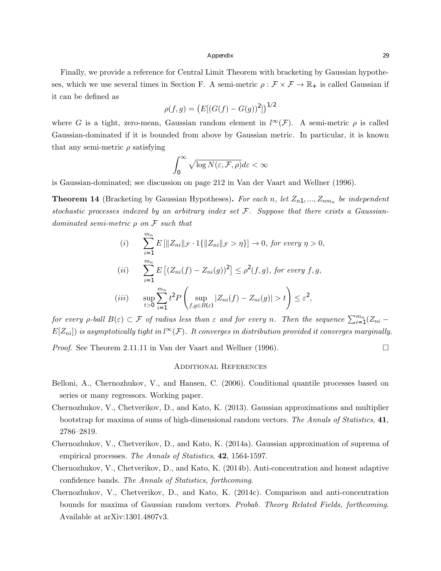Finally, we provide a reference for Central Limit Theorem with bracketing by Gaussian hypotheses, which we use several times in Section F. A semi-metric  $\rho : \mathcal{F} \times \mathcal{F} \to \mathbb{R}_+$  is called Gaussian if it can be defined as

$$
\rho(f,g) = (E[(G(f) - G(g))^2])^{1/2}
$$

where *G* is a tight, zero-mean, Gaussian random element in  $l^{\infty}(\mathcal{F})$ . A semi-metric  $\rho$  is called Gaussian-dominated if it is bounded from above by Gaussian metric. In particular, it is known that any semi-metric  $\rho$  satisfying

$$
\int_0^\infty \sqrt{\log N(\varepsilon, \mathcal{F}, \rho)} d\varepsilon < \infty
$$

is Gaussian-dominated; see discussion on page 212 in Van der Vaart and Wellner (1996).

**Theorem 14** (Bracketing by Gaussian Hypotheses). For each *n*, let  $Z_{n1},..., Z_{nm_n}$  be independent *stochastic processes indexed by an arbitrary index set F. Suppose that there exists a Gaussiandominated semi-metric*  $\rho$  *on*  $\mathcal F$  *such that* 

$$
(i) \sum_{i=1}^{m_n} E\left[\|Z_{ni}\|_{\mathcal{F}} \cdot 1\{\|Z_{ni}\|_{\mathcal{F}} > \eta\}\right] \to 0, \text{ for every } \eta > 0,
$$
\n
$$
(ii) \sum_{i=1}^{m_n} E\left[(Z_{ni}(f) - Z_{ni}(g))^2\right] \le \rho^2(f, g), \text{ for every } f, g,
$$
\n
$$
(iii) \sum_{t>0}^{m_n} \sum_{i=1}^{m_n} t^2 P\left(\sup_{f, g \in B(\varepsilon)} |Z_{ni}(f) - Z_{ni}(g)| > t\right) \le \varepsilon^2,
$$

*for every*  $\rho$ -ball  $B(\varepsilon) \subset \mathcal{F}$  *of radius less than*  $\varepsilon$  *and for every n. Then the sequence*  $\sum_{i=1}^{m_n}(Z_{ni} E[Z_{ni}]$ ) is asymptotically tight in l ${}^{\infty}(\mathcal{F})$ . It converges in distribution provided it converges marginally.

*Proof.* See Theorem 2.11.11 in Van der Vaart and Wellner (1996).  $\Box$ 

#### Additional References

- Belloni, A., Chernozhukov, V., and Hansen, C. (2006). Conditional quantile processes based on series or many regressors. Working paper.
- Chernozhukov, V., Chetverikov, D., and Kato, K. (2013). Gaussian approximations and multiplier bootstrap for maxima of sums of high-dimensional random vectors. *The Annals of Statistics*, 41, 2786–2819.
- Chernozhukov, V., Chetverikov, D., and Kato, K. (2014a). Gaussian approximation of suprema of empirical processes. *The Annals of Statistics*, 42, 1564-1597.
- Chernozhukov, V., Chetverikov, D., and Kato, K. (2014b). Anti-concentration and honest adaptive confidence bands. *The Annals of Statistics, forthcoming*.
- Chernozhukov, V., Chetverikov, D., and Kato, K. (2014c). Comparison and anti-concentration bounds for maxima of Gaussian random vectors. *Probab. Theory Related Fields, forthcoming*. Available at arXiv:1301.4807v3.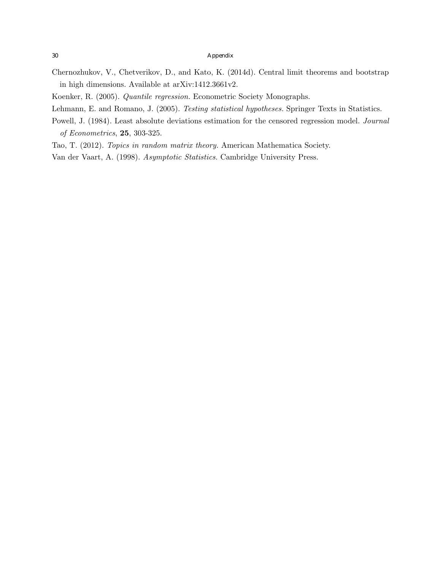- Chernozhukov, V., Chetverikov, D., and Kato, K. (2014d). Central limit theorems and bootstrap in high dimensions. Available at arXiv:1412.3661v2.
- Koenker, R. (2005). *Quantile regression.* Econometric Society Monographs.
- Lehmann, E. and Romano, J. (2005). *Testing statistical hypotheses.* Springer Texts in Statistics.
- Powell, J. (1984). Least absolute deviations estimation for the censored regression model. *Journal of Econometrics*, 25, 303-325.
- Tao, T. (2012). *Topics in random matrix theory.* American Mathematica Society.
- Van der Vaart, A. (1998). *Asymptotic Statistics.* Cambridge University Press.